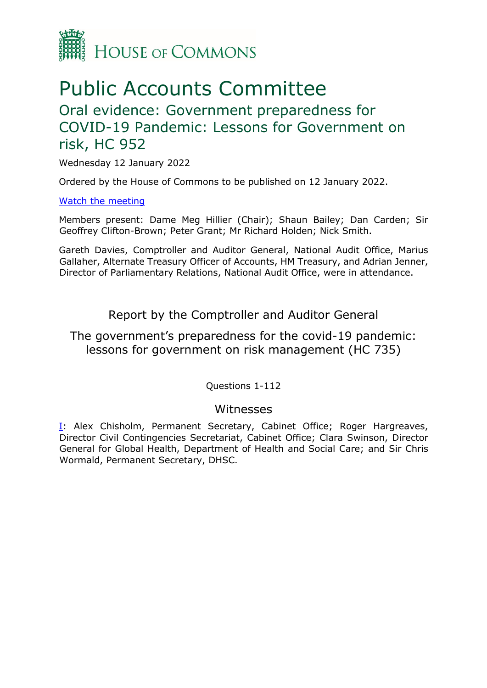

# Public Accounts Committee

## Oral evidence: Government preparedness for COVID-19 Pandemic: Lessons for Government on risk, HC 952

Wednesday 12 January 2022

Ordered by the House of Commons to be published on 12 January 2022.

## [Watch the meeting](https://www.parliamentlive.tv/Event/Index/47281e4a-3ae2-4843-b1fb-9d3ef78cc1e8)

Members present: Dame Meg Hillier (Chair); Shaun Bailey; Dan Carden; Sir Geoffrey Clifton-Brown; Peter Grant; Mr Richard Holden; Nick Smith.

Gareth Davies, Comptroller and Auditor General, National Audit Office, Marius Gallaher, Alternate Treasury Officer of Accounts, HM Treasury, and Adrian Jenner, Director of Parliamentary Relations, National Audit Office, were in attendance.

Report by the Comptroller and Auditor General

The government's preparedness for the covid-19 pandemic: lessons for government on risk management (HC 735)

Questions 1-112

## Witnesses

I: Alex Chisholm, Permanent Secretary, Cabinet Office; Roger Hargreaves, Director Civil Contingencies Secretariat, Cabinet Office; Clara Swinson, Director General for Global Health, Department of Health and Social Care; and Sir Chris Wormald, Permanent Secretary, DHSC.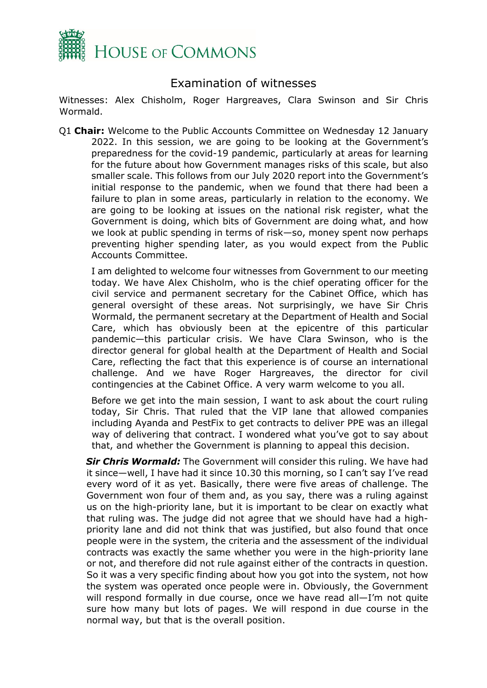

## Examination of witnesses

Witnesses: Alex Chisholm, Roger Hargreaves, Clara Swinson and Sir Chris Wormald.

Q1 **Chair:** Welcome to the Public Accounts Committee on Wednesday 12 January 2022. In this session, we are going to be looking at the Government's preparedness for the covid-19 pandemic, particularly at areas for learning for the future about how Government manages risks of this scale, but also smaller scale. This follows from our July 2020 report into the Government's initial response to the pandemic, when we found that there had been a failure to plan in some areas, particularly in relation to the economy. We are going to be looking at issues on the national risk register, what the Government is doing, which bits of Government are doing what, and how we look at public spending in terms of risk—so, money spent now perhaps preventing higher spending later, as you would expect from the Public Accounts Committee.

I am delighted to welcome four witnesses from Government to our meeting today. We have Alex Chisholm, who is the chief operating officer for the civil service and permanent secretary for the Cabinet Office, which has general oversight of these areas. Not surprisingly, we have Sir Chris Wormald, the permanent secretary at the Department of Health and Social Care, which has obviously been at the epicentre of this particular pandemic—this particular crisis. We have Clara Swinson, who is the director general for global health at the Department of Health and Social Care, reflecting the fact that this experience is of course an international challenge. And we have Roger Hargreaves, the director for civil contingencies at the Cabinet Office. A very warm welcome to you all.

Before we get into the main session, I want to ask about the court ruling today, Sir Chris. That ruled that the VIP lane that allowed companies including Ayanda and PestFix to get contracts to deliver PPE was an illegal way of delivering that contract. I wondered what you've got to say about that, and whether the Government is planning to appeal this decision.

*Sir Chris Wormald:* The Government will consider this ruling. We have had it since—well, I have had it since 10.30 this morning, so I can't say I've read every word of it as yet. Basically, there were five areas of challenge. The Government won four of them and, as you say, there was a ruling against us on the high-priority lane, but it is important to be clear on exactly what that ruling was. The judge did not agree that we should have had a highpriority lane and did not think that was justified, but also found that once people were in the system, the criteria and the assessment of the individual contracts was exactly the same whether you were in the high-priority lane or not, and therefore did not rule against either of the contracts in question. So it was a very specific finding about how you got into the system, not how the system was operated once people were in. Obviously, the Government will respond formally in due course, once we have read all—I'm not quite sure how many but lots of pages. We will respond in due course in the normal way, but that is the overall position.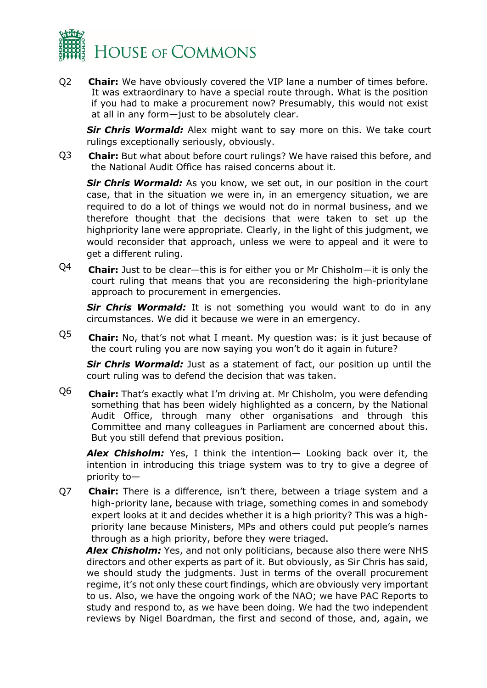

Q2 **Chair:** We have obviously covered the VIP lane a number of times before. It was extraordinary to have a special route through. What is the position if you had to make a procurement now? Presumably, this would not exist at all in any form—just to be absolutely clear.

*Sir Chris Wormald:* Alex might want to say more on this. We take court rulings exceptionally seriously, obviously.

Q3 **Chair:** But what about before court rulings? We have raised this before, and the National Audit Office has raised concerns about it.

**Sir Chris Wormald:** As you know, we set out, in our position in the court case, that in the situation we were in, in an emergency situation, we are required to do a lot of things we would not do in normal business, and we therefore thought that the decisions that were taken to set up the highpriority lane were appropriate. Clearly, in the light of this judgment, we would reconsider that approach, unless we were to appeal and it were to get a different ruling.

Q4 **Chair:** Just to be clear—this is for either you or Mr Chisholm—it is only the court ruling that means that you are reconsidering the high-prioritylane approach to procurement in emergencies.

**Sir Chris Wormald:** It is not something you would want to do in any circumstances. We did it because we were in an emergency.

Q5 **Chair:** No, that's not what I meant. My question was: is it just because of the court ruling you are now saying you won't do it again in future?

*Sir Chris Wormald:* Just as a statement of fact, our position up until the court ruling was to defend the decision that was taken.

Q6 **Chair:** That's exactly what I'm driving at. Mr Chisholm, you were defending something that has been widely highlighted as a concern, by the National Audit Office, through many other organisations and through this Committee and many colleagues in Parliament are concerned about this. But you still defend that previous position.

*Alex Chisholm:* Yes, I think the intention— Looking back over it, the intention in introducing this triage system was to try to give a degree of priority to—

Q7 **Chair:** There is a difference, isn't there, between a triage system and a high-priority lane, because with triage, something comes in and somebody expert looks at it and decides whether it is a high priority? This was a highpriority lane because Ministers, MPs and others could put people's names through as a high priority, before they were triaged.

*Alex Chisholm:* Yes, and not only politicians, because also there were NHS directors and other experts as part of it. But obviously, as Sir Chris has said, we should study the judgments. Just in terms of the overall procurement regime, it's not only these court findings, which are obviously very important to us. Also, we have the ongoing work of the NAO; we have PAC Reports to study and respond to, as we have been doing. We had the two independent reviews by Nigel Boardman, the first and second of those, and, again, we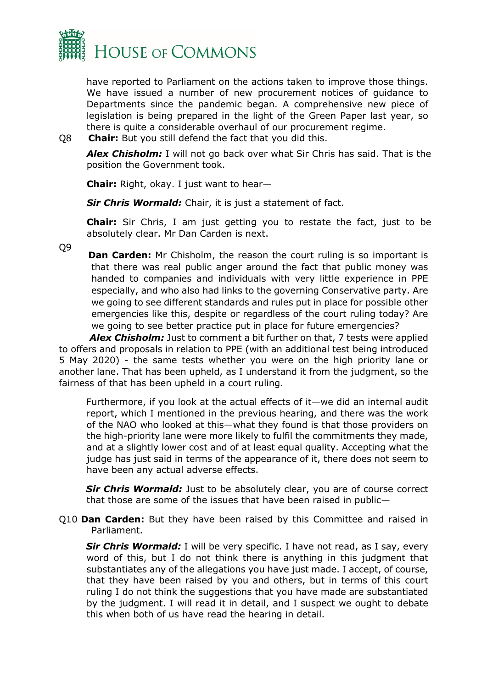

have reported to Parliament on the actions taken to improve those things. We have issued a number of new procurement notices of guidance to Departments since the pandemic began. A comprehensive new piece of legislation is being prepared in the light of the Green Paper last year, so there is quite a considerable overhaul of our procurement regime.

Q8 **Chair:** But you still defend the fact that you did this.

*Alex Chisholm:* I will not go back over what Sir Chris has said. That is the position the Government took.

**Chair:** Right, okay. I just want to hear—

*Sir Chris Wormald:* Chair, it is just a statement of fact.

**Chair:** Sir Chris, I am just getting you to restate the fact, just to be absolutely clear. Mr Dan Carden is next.

Q9 **Dan Carden:** Mr Chisholm, the reason the court ruling is so important is that there was real public anger around the fact that public money was handed to companies and individuals with very little experience in PPE especially, and who also had links to the governing Conservative party. Are we going to see different standards and rules put in place for possible other emergencies like this, despite or regardless of the court ruling today? Are we going to see better practice put in place for future emergencies?

 *Alex Chisholm:* Just to comment a bit further on that, 7 tests were applied to offers and proposals in relation to PPE (with an additional test being introduced 5 May 2020) - the same tests whether you were on the high priority lane or another lane. That has been upheld, as I understand it from the judgment, so the fairness of that has been upheld in a court ruling.

Furthermore, if you look at the actual effects of it—we did an internal audit report, which I mentioned in the previous hearing, and there was the work of the NAO who looked at this—what they found is that those providers on the high-priority lane were more likely to fulfil the commitments they made, and at a slightly lower cost and of at least equal quality. Accepting what the judge has just said in terms of the appearance of it, there does not seem to have been any actual adverse effects.

**Sir Chris Wormald:** Just to be absolutely clear, you are of course correct that those are some of the issues that have been raised in public—

Q10 **Dan Carden:** But they have been raised by this Committee and raised in Parliament.

**Sir Chris Wormald:** I will be very specific. I have not read, as I say, every word of this, but I do not think there is anything in this judgment that substantiates any of the allegations you have just made. I accept, of course, that they have been raised by you and others, but in terms of this court ruling I do not think the suggestions that you have made are substantiated by the judgment. I will read it in detail, and I suspect we ought to debate this when both of us have read the hearing in detail.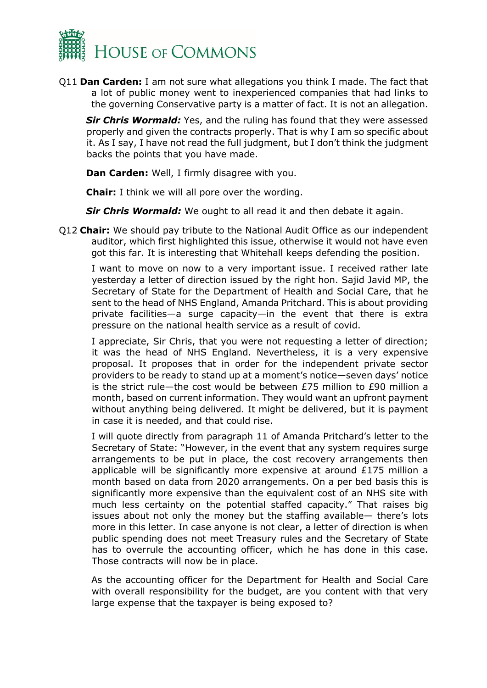

Q11 **Dan Carden:** I am not sure what allegations you think I made. The fact that a lot of public money went to inexperienced companies that had links to the governing Conservative party is a matter of fact. It is not an allegation.

**Sir Chris Wormald:** Yes, and the ruling has found that they were assessed properly and given the contracts properly. That is why I am so specific about it. As I say, I have not read the full judgment, but I don't think the judgment backs the points that you have made.

**Dan Carden:** Well, I firmly disagree with you.

**Chair:** I think we will all pore over the wording.

*Sir Chris Wormald:* We ought to all read it and then debate it again.

Q12 **Chair:** We should pay tribute to the National Audit Office as our independent auditor, which first highlighted this issue, otherwise it would not have even got this far. It is interesting that Whitehall keeps defending the position.

I want to move on now to a very important issue. I received rather late yesterday a letter of direction issued by the right hon. Sajid Javid MP, the Secretary of State for the Department of Health and Social Care, that he sent to the head of NHS England, Amanda Pritchard. This is about providing private facilities—a surge capacity—in the event that there is extra pressure on the national health service as a result of covid.

I appreciate, Sir Chris, that you were not requesting a letter of direction; it was the head of NHS England. Nevertheless, it is a very expensive proposal. It proposes that in order for the independent private sector providers to be ready to stand up at a moment's notice—seven days' notice is the strict rule—the cost would be between £75 million to £90 million a month, based on current information. They would want an upfront payment without anything being delivered. It might be delivered, but it is payment in case it is needed, and that could rise.

I will quote directly from paragraph 11 of Amanda Pritchard's letter to the Secretary of State: "However, in the event that any system requires surge arrangements to be put in place, the cost recovery arrangements then applicable will be significantly more expensive at around £175 million a month based on data from 2020 arrangements. On a per bed basis this is significantly more expensive than the equivalent cost of an NHS site with much less certainty on the potential staffed capacity." That raises big issues about not only the money but the staffing available— there's lots more in this letter. In case anyone is not clear, a letter of direction is when public spending does not meet Treasury rules and the Secretary of State has to overrule the accounting officer, which he has done in this case. Those contracts will now be in place.

As the accounting officer for the Department for Health and Social Care with overall responsibility for the budget, are you content with that very large expense that the taxpayer is being exposed to?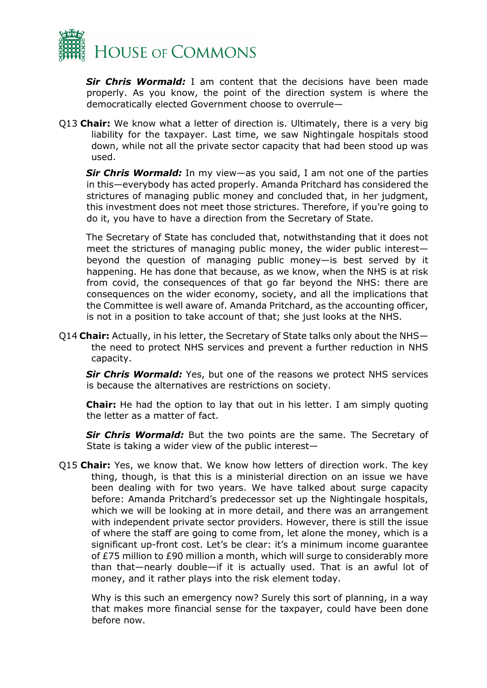

*Sir Chris Wormald:* I am content that the decisions have been made properly. As you know, the point of the direction system is where the democratically elected Government choose to overrule—

Q13 **Chair:** We know what a letter of direction is. Ultimately, there is a very big liability for the taxpayer. Last time, we saw Nightingale hospitals stood down, while not all the private sector capacity that had been stood up was used.

*Sir Chris Wormald:* In my view—as you said, I am not one of the parties in this—everybody has acted properly. Amanda Pritchard has considered the strictures of managing public money and concluded that, in her judgment, this investment does not meet those strictures. Therefore, if you're going to do it, you have to have a direction from the Secretary of State.

The Secretary of State has concluded that, notwithstanding that it does not meet the strictures of managing public money, the wider public interest beyond the question of managing public money—is best served by it happening. He has done that because, as we know, when the NHS is at risk from covid, the consequences of that go far beyond the NHS: there are consequences on the wider economy, society, and all the implications that the Committee is well aware of. Amanda Pritchard, as the accounting officer, is not in a position to take account of that; she just looks at the NHS.

Q14 **Chair:** Actually, in his letter, the Secretary of State talks only about the NHS the need to protect NHS services and prevent a further reduction in NHS capacity.

**Sir Chris Wormald:** Yes, but one of the reasons we protect NHS services is because the alternatives are restrictions on society.

**Chair:** He had the option to lay that out in his letter. I am simply quoting the letter as a matter of fact.

**Sir Chris Wormald:** But the two points are the same. The Secretary of State is taking a wider view of the public interest—

Q15 **Chair:** Yes, we know that. We know how letters of direction work. The key thing, though, is that this is a ministerial direction on an issue we have been dealing with for two years. We have talked about surge capacity before: Amanda Pritchard's predecessor set up the Nightingale hospitals, which we will be looking at in more detail, and there was an arrangement with independent private sector providers. However, there is still the issue of where the staff are going to come from, let alone the money, which is a significant up-front cost. Let's be clear: it's a minimum income guarantee of £75 million to £90 million a month, which will surge to considerably more than that—nearly double—if it is actually used. That is an awful lot of money, and it rather plays into the risk element today.

Why is this such an emergency now? Surely this sort of planning, in a way that makes more financial sense for the taxpayer, could have been done before now.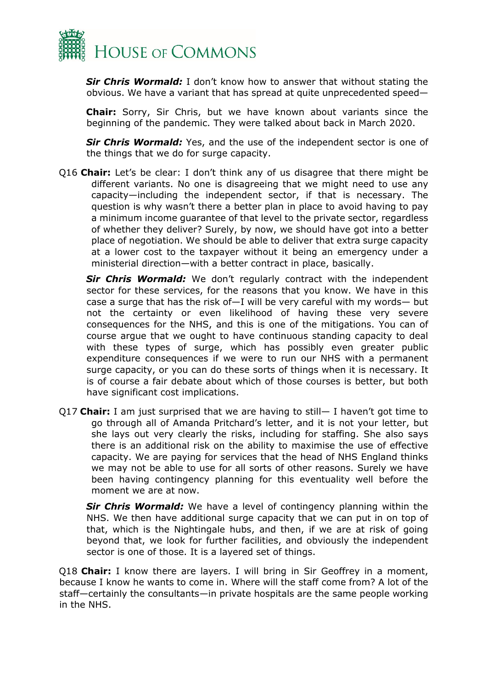

*Sir Chris Wormald:* I don't know how to answer that without stating the obvious. We have a variant that has spread at quite unprecedented speed—

**Chair:** Sorry, Sir Chris, but we have known about variants since the beginning of the pandemic. They were talked about back in March 2020.

**Sir Chris Wormald:** Yes, and the use of the independent sector is one of the things that we do for surge capacity.

Q16 **Chair:** Let's be clear: I don't think any of us disagree that there might be different variants. No one is disagreeing that we might need to use any capacity—including the independent sector, if that is necessary. The question is why wasn't there a better plan in place to avoid having to pay a minimum income guarantee of that level to the private sector, regardless of whether they deliver? Surely, by now, we should have got into a better place of negotiation. We should be able to deliver that extra surge capacity at a lower cost to the taxpayer without it being an emergency under a ministerial direction—with a better contract in place, basically.

**Sir Chris Wormald:** We don't regularly contract with the independent sector for these services, for the reasons that you know. We have in this case a surge that has the risk of—I will be very careful with my words— but not the certainty or even likelihood of having these very severe consequences for the NHS, and this is one of the mitigations. You can of course argue that we ought to have continuous standing capacity to deal with these types of surge, which has possibly even greater public expenditure consequences if we were to run our NHS with a permanent surge capacity, or you can do these sorts of things when it is necessary. It is of course a fair debate about which of those courses is better, but both have significant cost implications.

Q17 **Chair:** I am just surprised that we are having to still— I haven't got time to go through all of Amanda Pritchard's letter, and it is not your letter, but she lays out very clearly the risks, including for staffing. She also says there is an additional risk on the ability to maximise the use of effective capacity. We are paying for services that the head of NHS England thinks we may not be able to use for all sorts of other reasons. Surely we have been having contingency planning for this eventuality well before the moment we are at now.

*Sir Chris Wormald:* We have a level of contingency planning within the NHS. We then have additional surge capacity that we can put in on top of that, which is the Nightingale hubs, and then, if we are at risk of going beyond that, we look for further facilities, and obviously the independent sector is one of those. It is a layered set of things.

Q18 **Chair:** I know there are layers. I will bring in Sir Geoffrey in a moment, because I know he wants to come in. Where will the staff come from? A lot of the staff—certainly the consultants—in private hospitals are the same people working in the NHS.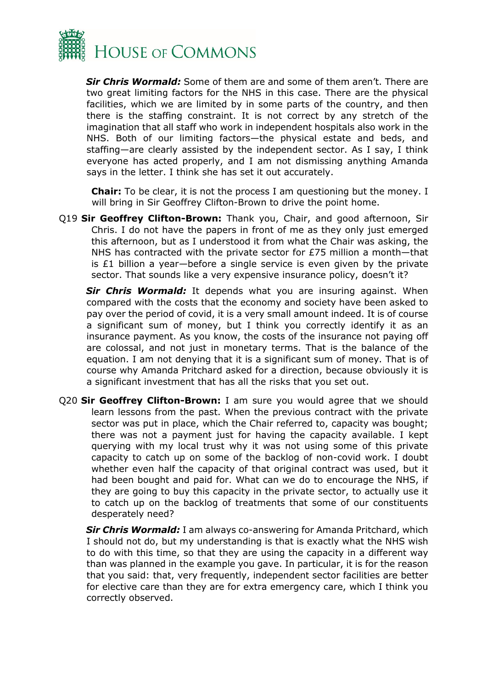

*Sir Chris Wormald:* Some of them are and some of them aren't. There are two great limiting factors for the NHS in this case. There are the physical facilities, which we are limited by in some parts of the country, and then there is the staffing constraint. It is not correct by any stretch of the imagination that all staff who work in independent hospitals also work in the NHS. Both of our limiting factors—the physical estate and beds, and staffing—are clearly assisted by the independent sector. As I say, I think everyone has acted properly, and I am not dismissing anything Amanda says in the letter. I think she has set it out accurately.

**Chair:** To be clear, it is not the process I am questioning but the money. I will bring in Sir Geoffrey Clifton-Brown to drive the point home.

Q19 **Sir Geoffrey Clifton-Brown:** Thank you, Chair, and good afternoon, Sir Chris. I do not have the papers in front of me as they only just emerged this afternoon, but as I understood it from what the Chair was asking, the NHS has contracted with the private sector for £75 million a month—that is  $£1$  billion a year—before a single service is even given by the private sector. That sounds like a very expensive insurance policy, doesn't it?

**Sir Chris Wormald:** It depends what you are insuring against. When compared with the costs that the economy and society have been asked to pay over the period of covid, it is a very small amount indeed. It is of course a significant sum of money, but I think you correctly identify it as an insurance payment. As you know, the costs of the insurance not paying off are colossal, and not just in monetary terms. That is the balance of the equation. I am not denying that it is a significant sum of money. That is of course why Amanda Pritchard asked for a direction, because obviously it is a significant investment that has all the risks that you set out.

Q20 **Sir Geoffrey Clifton-Brown:** I am sure you would agree that we should learn lessons from the past. When the previous contract with the private sector was put in place, which the Chair referred to, capacity was bought; there was not a payment just for having the capacity available. I kept querying with my local trust why it was not using some of this private capacity to catch up on some of the backlog of non-covid work. I doubt whether even half the capacity of that original contract was used, but it had been bought and paid for. What can we do to encourage the NHS, if they are going to buy this capacity in the private sector, to actually use it to catch up on the backlog of treatments that some of our constituents desperately need?

*Sir Chris Wormald:* I am always co-answering for Amanda Pritchard, which I should not do, but my understanding is that is exactly what the NHS wish to do with this time, so that they are using the capacity in a different way than was planned in the example you gave. In particular, it is for the reason that you said: that, very frequently, independent sector facilities are better for elective care than they are for extra emergency care, which I think you correctly observed.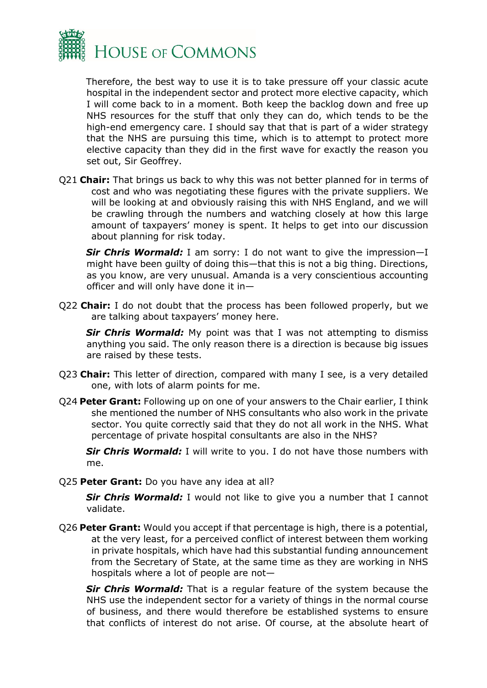

Therefore, the best way to use it is to take pressure off your classic acute hospital in the independent sector and protect more elective capacity, which I will come back to in a moment. Both keep the backlog down and free up NHS resources for the stuff that only they can do, which tends to be the high-end emergency care. I should say that that is part of a wider strategy that the NHS are pursuing this time, which is to attempt to protect more elective capacity than they did in the first wave for exactly the reason you set out, Sir Geoffrey.

Q21 **Chair:** That brings us back to why this was not better planned for in terms of cost and who was negotiating these figures with the private suppliers. We will be looking at and obviously raising this with NHS England, and we will be crawling through the numbers and watching closely at how this large amount of taxpayers' money is spent. It helps to get into our discussion about planning for risk today.

**Sir Chris Wormald:** I am sorry: I do not want to give the impression-I might have been guilty of doing this—that this is not a big thing. Directions, as you know, are very unusual. Amanda is a very conscientious accounting officer and will only have done it in—

Q22 **Chair:** I do not doubt that the process has been followed properly, but we are talking about taxpayers' money here.

**Sir Chris Wormald:** My point was that I was not attempting to dismiss anything you said. The only reason there is a direction is because big issues are raised by these tests.

- Q23 **Chair:** This letter of direction, compared with many I see, is a very detailed one, with lots of alarm points for me.
- Q24 **Peter Grant:** Following up on one of your answers to the Chair earlier, I think she mentioned the number of NHS consultants who also work in the private sector. You quite correctly said that they do not all work in the NHS. What percentage of private hospital consultants are also in the NHS?

*Sir Chris Wormald:* I will write to you. I do not have those numbers with me.

Q25 **Peter Grant:** Do you have any idea at all?

*Sir Chris Wormald:* I would not like to give you a number that I cannot validate.

Q26 **Peter Grant:** Would you accept if that percentage is high, there is a potential, at the very least, for a perceived conflict of interest between them working in private hospitals, which have had this substantial funding announcement from the Secretary of State, at the same time as they are working in NHS hospitals where a lot of people are not—

*Sir Chris Wormald:* That is a regular feature of the system because the NHS use the independent sector for a variety of things in the normal course of business, and there would therefore be established systems to ensure that conflicts of interest do not arise. Of course, at the absolute heart of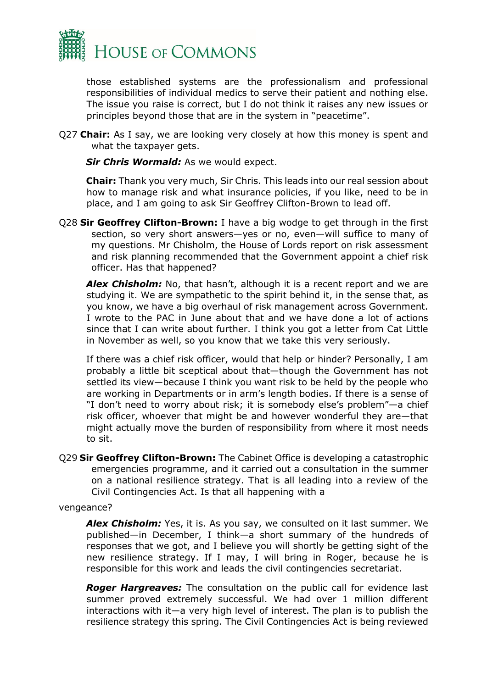

those established systems are the professionalism and professional responsibilities of individual medics to serve their patient and nothing else. The issue you raise is correct, but I do not think it raises any new issues or principles beyond those that are in the system in "peacetime".

Q27 **Chair:** As I say, we are looking very closely at how this money is spent and what the taxpayer gets.

**Sir Chris Wormald:** As we would expect.

**Chair:** Thank you very much, Sir Chris. This leads into our real session about how to manage risk and what insurance policies, if you like, need to be in place, and I am going to ask Sir Geoffrey Clifton-Brown to lead off.

Q28 **Sir Geoffrey Clifton-Brown:** I have a big wodge to get through in the first section, so very short answers—yes or no, even—will suffice to many of my questions. Mr Chisholm, the House of Lords report on risk assessment and risk planning recommended that the Government appoint a chief risk officer. Has that happened?

Alex Chisholm: No, that hasn't, although it is a recent report and we are studying it. We are sympathetic to the spirit behind it, in the sense that, as you know, we have a big overhaul of risk management across Government. I wrote to the PAC in June about that and we have done a lot of actions since that I can write about further. I think you got a letter from Cat Little in November as well, so you know that we take this very seriously.

If there was a chief risk officer, would that help or hinder? Personally, I am probably a little bit sceptical about that—though the Government has not settled its view—because I think you want risk to be held by the people who are working in Departments or in arm's length bodies. If there is a sense of "I don't need to worry about risk; it is somebody else's problem"—a chief risk officer, whoever that might be and however wonderful they are—that might actually move the burden of responsibility from where it most needs to sit.

Q29 **Sir Geoffrey Clifton-Brown:** The Cabinet Office is developing a catastrophic emergencies programme, and it carried out a consultation in the summer on a national resilience strategy. That is all leading into a review of the Civil Contingencies Act. Is that all happening with a

#### vengeance?

*Alex Chisholm:* Yes, it is. As you say, we consulted on it last summer. We published—in December, I think—a short summary of the hundreds of responses that we got, and I believe you will shortly be getting sight of the new resilience strategy. If I may, I will bring in Roger, because he is responsible for this work and leads the civil contingencies secretariat.

*Roger Hargreaves:* The consultation on the public call for evidence last summer proved extremely successful. We had over 1 million different interactions with it—a very high level of interest. The plan is to publish the resilience strategy this spring. The Civil Contingencies Act is being reviewed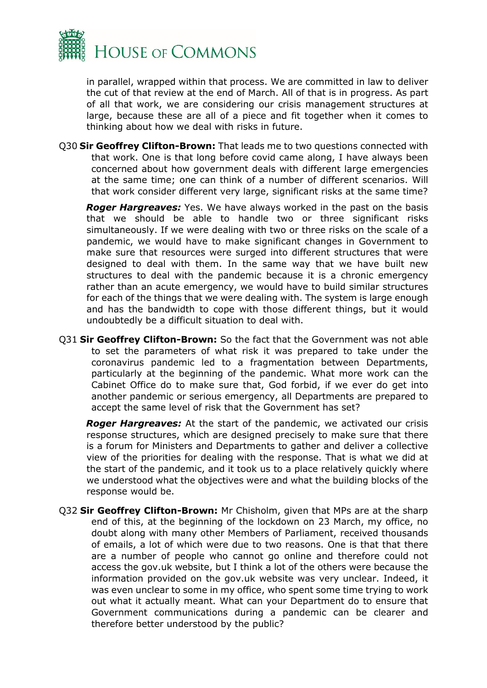

in parallel, wrapped within that process. We are committed in law to deliver the cut of that review at the end of March. All of that is in progress. As part of all that work, we are considering our crisis management structures at large, because these are all of a piece and fit together when it comes to thinking about how we deal with risks in future.

Q30 **Sir Geoffrey Clifton-Brown:** That leads me to two questions connected with that work. One is that long before covid came along, I have always been concerned about how government deals with different large emergencies at the same time; one can think of a number of different scenarios. Will that work consider different very large, significant risks at the same time?

**Roger Hargreaves:** Yes. We have always worked in the past on the basis that we should be able to handle two or three significant risks simultaneously. If we were dealing with two or three risks on the scale of a pandemic, we would have to make significant changes in Government to make sure that resources were surged into different structures that were designed to deal with them. In the same way that we have built new structures to deal with the pandemic because it is a chronic emergency rather than an acute emergency, we would have to build similar structures for each of the things that we were dealing with. The system is large enough and has the bandwidth to cope with those different things, but it would undoubtedly be a difficult situation to deal with.

Q31 **Sir Geoffrey Clifton-Brown:** So the fact that the Government was not able to set the parameters of what risk it was prepared to take under the coronavirus pandemic led to a fragmentation between Departments, particularly at the beginning of the pandemic. What more work can the Cabinet Office do to make sure that, God forbid, if we ever do get into another pandemic or serious emergency, all Departments are prepared to accept the same level of risk that the Government has set?

*Roger Hargreaves:* At the start of the pandemic, we activated our crisis response structures, which are designed precisely to make sure that there is a forum for Ministers and Departments to gather and deliver a collective view of the priorities for dealing with the response. That is what we did at the start of the pandemic, and it took us to a place relatively quickly where we understood what the objectives were and what the building blocks of the response would be.

Q32 **Sir Geoffrey Clifton-Brown:** Mr Chisholm, given that MPs are at the sharp end of this, at the beginning of the lockdown on 23 March, my office, no doubt along with many other Members of Parliament, received thousands of emails, a lot of which were due to two reasons. One is that that there are a number of people who cannot go online and therefore could not access the gov.uk website, but I think a lot of the others were because the information provided on the gov.uk website was very unclear. Indeed, it was even unclear to some in my office, who spent some time trying to work out what it actually meant. What can your Department do to ensure that Government communications during a pandemic can be clearer and therefore better understood by the public?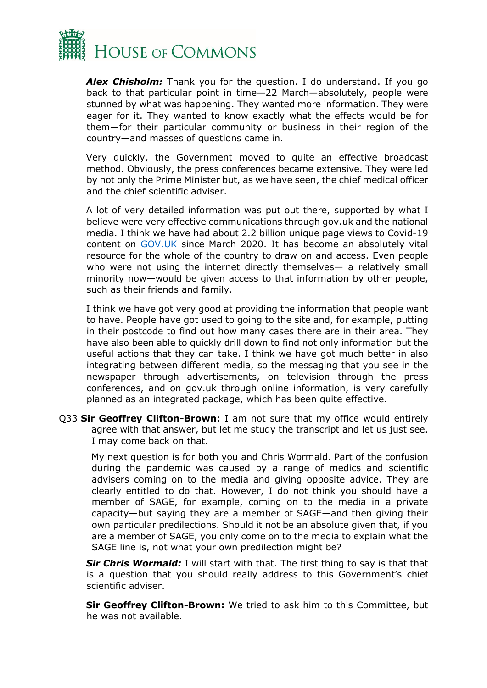

*Alex Chisholm:* Thank you for the question. I do understand. If you go back to that particular point in time—22 March—absolutely, people were stunned by what was happening. They wanted more information. They were eager for it. They wanted to know exactly what the effects would be for them—for their particular community or business in their region of the country—and masses of questions came in.

Very quickly, the Government moved to quite an effective broadcast method. Obviously, the press conferences became extensive. They were led by not only the Prime Minister but, as we have seen, the chief medical officer and the chief scientific adviser.

A lot of very detailed information was put out there, supported by what I believe were very effective communications through gov.uk and the national media. I think we have had about 2.2 billion unique page views to Covid-19 content on [GOV.UK](http://gov.uk/) since March 2020. It has become an absolutely vital resource for the whole of the country to draw on and access. Even people who were not using the internet directly themselves— a relatively small minority now—would be given access to that information by other people, such as their friends and family.

I think we have got very good at providing the information that people want to have. People have got used to going to the site and, for example, putting in their postcode to find out how many cases there are in their area. They have also been able to quickly drill down to find not only information but the useful actions that they can take. I think we have got much better in also integrating between different media, so the messaging that you see in the newspaper through advertisements, on television through the press conferences, and on gov.uk through online information, is very carefully planned as an integrated package, which has been quite effective.

Q33 **Sir Geoffrey Clifton-Brown:** I am not sure that my office would entirely agree with that answer, but let me study the transcript and let us just see. I may come back on that.

My next question is for both you and Chris Wormald. Part of the confusion during the pandemic was caused by a range of medics and scientific advisers coming on to the media and giving opposite advice. They are clearly entitled to do that. However, I do not think you should have a member of SAGE, for example, coming on to the media in a private capacity—but saying they are a member of SAGE—and then giving their own particular predilections. Should it not be an absolute given that, if you are a member of SAGE, you only come on to the media to explain what the SAGE line is, not what your own predilection might be?

**Sir Chris Wormald:** I will start with that. The first thing to say is that that is a question that you should really address to this Government's chief scientific adviser.

**Sir Geoffrey Clifton-Brown:** We tried to ask him to this Committee, but he was not available.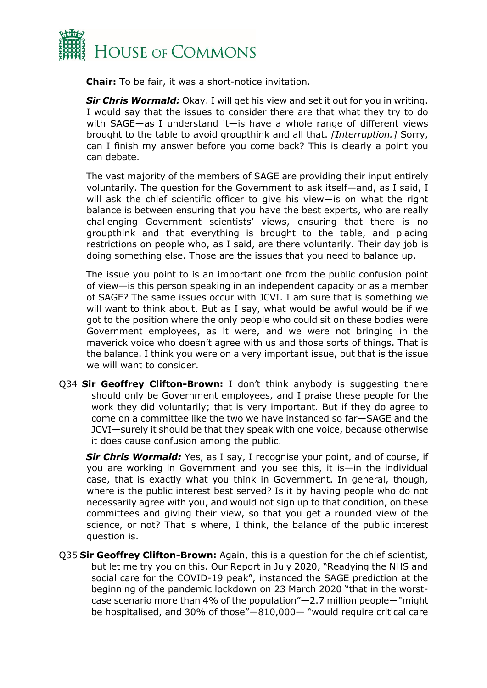

**Chair:** To be fair, it was a short-notice invitation.

*Sir Chris Wormald:* Okay. I will get his view and set it out for you in writing. I would say that the issues to consider there are that what they try to do with SAGE—as I understand it—is have a whole range of different views brought to the table to avoid groupthink and all that. *[Interruption.]* Sorry, can I finish my answer before you come back? This is clearly a point you can debate.

The vast majority of the members of SAGE are providing their input entirely voluntarily. The question for the Government to ask itself—and, as I said, I will ask the chief scientific officer to give his view—is on what the right balance is between ensuring that you have the best experts, who are really challenging Government scientists' views, ensuring that there is no groupthink and that everything is brought to the table, and placing restrictions on people who, as I said, are there voluntarily. Their day job is doing something else. Those are the issues that you need to balance up.

The issue you point to is an important one from the public confusion point of view—is this person speaking in an independent capacity or as a member of SAGE? The same issues occur with JCVI. I am sure that is something we will want to think about. But as I say, what would be awful would be if we got to the position where the only people who could sit on these bodies were Government employees, as it were, and we were not bringing in the maverick voice who doesn't agree with us and those sorts of things. That is the balance. I think you were on a very important issue, but that is the issue we will want to consider.

Q34 **Sir Geoffrey Clifton-Brown:** I don't think anybody is suggesting there should only be Government employees, and I praise these people for the work they did voluntarily; that is very important. But if they do agree to come on a committee like the two we have instanced so far—SAGE and the JCVI—surely it should be that they speak with one voice, because otherwise it does cause confusion among the public.

**Sir Chris Wormald:** Yes, as I say, I recognise your point, and of course, if you are working in Government and you see this, it is—in the individual case, that is exactly what you think in Government. In general, though, where is the public interest best served? Is it by having people who do not necessarily agree with you, and would not sign up to that condition, on these committees and giving their view, so that you get a rounded view of the science, or not? That is where, I think, the balance of the public interest question is.

Q35 **Sir Geoffrey Clifton-Brown:** Again, this is a question for the chief scientist, but let me try you on this. Our Report in July 2020, "Readying the NHS and social care for the COVID-19 peak", instanced the SAGE prediction at the beginning of the pandemic lockdown on 23 March 2020 "that in the worstcase scenario more than 4% of the population"—2.7 million people—"might be hospitalised, and 30% of those"—810,000— "would require critical care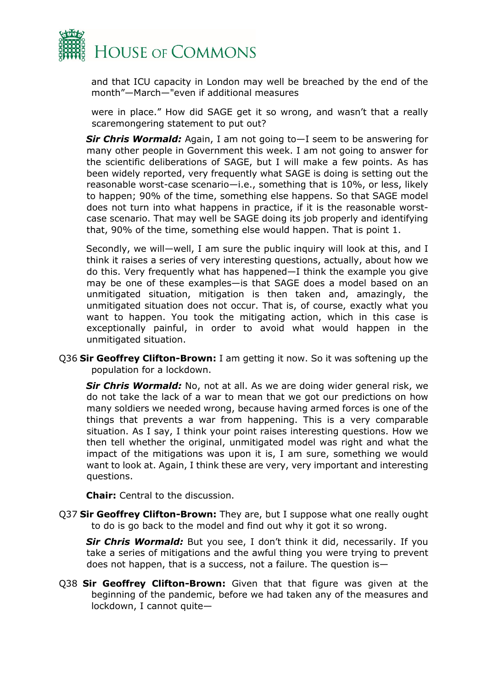

and that ICU capacity in London may well be breached by the end of the month"—March—"even if additional measures

were in place." How did SAGE get it so wrong, and wasn't that a really scaremongering statement to put out?

*Sir Chris Wormald:* Again, I am not going to—I seem to be answering for many other people in Government this week. I am not going to answer for the scientific deliberations of SAGE, but I will make a few points. As has been widely reported, very frequently what SAGE is doing is setting out the reasonable worst-case scenario—i.e., something that is 10%, or less, likely to happen; 90% of the time, something else happens. So that SAGE model does not turn into what happens in practice, if it is the reasonable worstcase scenario. That may well be SAGE doing its job properly and identifying that, 90% of the time, something else would happen. That is point 1.

Secondly, we will—well, I am sure the public inquiry will look at this, and I think it raises a series of very interesting questions, actually, about how we do this. Very frequently what has happened—I think the example you give may be one of these examples—is that SAGE does a model based on an unmitigated situation, mitigation is then taken and, amazingly, the unmitigated situation does not occur. That is, of course, exactly what you want to happen. You took the mitigating action, which in this case is exceptionally painful, in order to avoid what would happen in the unmitigated situation.

Q36 **Sir Geoffrey Clifton-Brown:** I am getting it now. So it was softening up the population for a lockdown.

*Sir Chris Wormald:* No, not at all. As we are doing wider general risk, we do not take the lack of a war to mean that we got our predictions on how many soldiers we needed wrong, because having armed forces is one of the things that prevents a war from happening. This is a very comparable situation. As I say, I think your point raises interesting questions. How we then tell whether the original, unmitigated model was right and what the impact of the mitigations was upon it is, I am sure, something we would want to look at. Again, I think these are very, very important and interesting questions.

**Chair:** Central to the discussion.

Q37 **Sir Geoffrey Clifton-Brown:** They are, but I suppose what one really ought to do is go back to the model and find out why it got it so wrong.

*Sir Chris Wormald:* But you see, I don't think it did, necessarily. If you take a series of mitigations and the awful thing you were trying to prevent does not happen, that is a success, not a failure. The question is—

Q38 **Sir Geoffrey Clifton-Brown:** Given that that figure was given at the beginning of the pandemic, before we had taken any of the measures and lockdown, I cannot quite—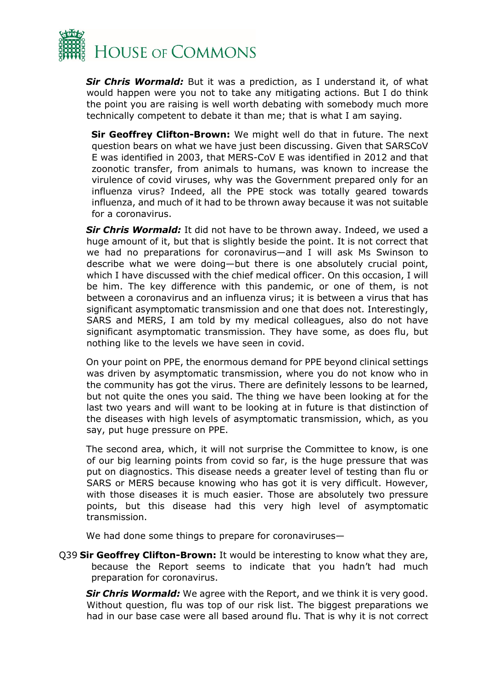

**Sir Chris Wormald:** But it was a prediction, as I understand it, of what would happen were you not to take any mitigating actions. But I do think the point you are raising is well worth debating with somebody much more technically competent to debate it than me; that is what I am saying.

**Sir Geoffrey Clifton-Brown:** We might well do that in future. The next question bears on what we have just been discussing. Given that SARSCoV E was identified in 2003, that MERS-CoV E was identified in 2012 and that zoonotic transfer, from animals to humans, was known to increase the virulence of covid viruses, why was the Government prepared only for an influenza virus? Indeed, all the PPE stock was totally geared towards influenza, and much of it had to be thrown away because it was not suitable for a coronavirus.

*Sir Chris Wormald:* It did not have to be thrown away. Indeed, we used a huge amount of it, but that is slightly beside the point. It is not correct that we had no preparations for coronavirus—and I will ask Ms Swinson to describe what we were doing—but there is one absolutely crucial point, which I have discussed with the chief medical officer. On this occasion, I will be him. The key difference with this pandemic, or one of them, is not between a coronavirus and an influenza virus; it is between a virus that has significant asymptomatic transmission and one that does not. Interestingly, SARS and MERS, I am told by my medical colleagues, also do not have significant asymptomatic transmission. They have some, as does flu, but nothing like to the levels we have seen in covid.

On your point on PPE, the enormous demand for PPE beyond clinical settings was driven by asymptomatic transmission, where you do not know who in the community has got the virus. There are definitely lessons to be learned, but not quite the ones you said. The thing we have been looking at for the last two years and will want to be looking at in future is that distinction of the diseases with high levels of asymptomatic transmission, which, as you say, put huge pressure on PPE.

The second area, which, it will not surprise the Committee to know, is one of our big learning points from covid so far, is the huge pressure that was put on diagnostics. This disease needs a greater level of testing than flu or SARS or MERS because knowing who has got it is very difficult. However, with those diseases it is much easier. Those are absolutely two pressure points, but this disease had this very high level of asymptomatic transmission.

We had done some things to prepare for coronaviruses—

Q39 **Sir Geoffrey Clifton-Brown:** It would be interesting to know what they are, because the Report seems to indicate that you hadn't had much preparation for coronavirus.

**Sir Chris Wormald:** We agree with the Report, and we think it is very good. Without question, flu was top of our risk list. The biggest preparations we had in our base case were all based around flu. That is why it is not correct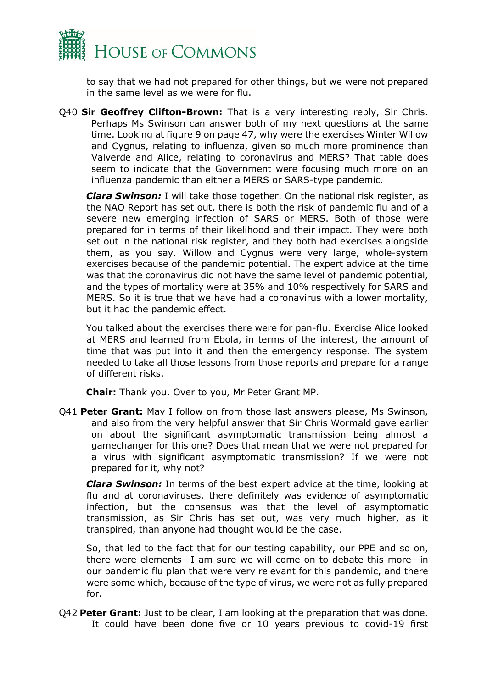

to say that we had not prepared for other things, but we were not prepared in the same level as we were for flu.

Q40 **Sir Geoffrey Clifton-Brown:** That is a very interesting reply, Sir Chris. Perhaps Ms Swinson can answer both of my next questions at the same time. Looking at figure 9 on page 47, why were the exercises Winter Willow and Cygnus, relating to influenza, given so much more prominence than Valverde and Alice, relating to coronavirus and MERS? That table does seem to indicate that the Government were focusing much more on an influenza pandemic than either a MERS or SARS-type pandemic.

*Clara Swinson:* I will take those together. On the national risk register, as the NAO Report has set out, there is both the risk of pandemic flu and of a severe new emerging infection of SARS or MERS. Both of those were prepared for in terms of their likelihood and their impact. They were both set out in the national risk register, and they both had exercises alongside them, as you say. Willow and Cygnus were very large, whole-system exercises because of the pandemic potential. The expert advice at the time was that the coronavirus did not have the same level of pandemic potential, and the types of mortality were at 35% and 10% respectively for SARS and MERS. So it is true that we have had a coronavirus with a lower mortality, but it had the pandemic effect.

You talked about the exercises there were for pan-flu. Exercise Alice looked at MERS and learned from Ebola, in terms of the interest, the amount of time that was put into it and then the emergency response. The system needed to take all those lessons from those reports and prepare for a range of different risks.

**Chair:** Thank you. Over to you, Mr Peter Grant MP.

Q41 **Peter Grant:** May I follow on from those last answers please, Ms Swinson, and also from the very helpful answer that Sir Chris Wormald gave earlier on about the significant asymptomatic transmission being almost a gamechanger for this one? Does that mean that we were not prepared for a virus with significant asymptomatic transmission? If we were not prepared for it, why not?

*Clara Swinson:* In terms of the best expert advice at the time, looking at flu and at coronaviruses, there definitely was evidence of asymptomatic infection, but the consensus was that the level of asymptomatic transmission, as Sir Chris has set out, was very much higher, as it transpired, than anyone had thought would be the case.

So, that led to the fact that for our testing capability, our PPE and so on, there were elements—I am sure we will come on to debate this more—in our pandemic flu plan that were very relevant for this pandemic, and there were some which, because of the type of virus, we were not as fully prepared for.

Q42 **Peter Grant:** Just to be clear, I am looking at the preparation that was done. It could have been done five or 10 years previous to covid-19 first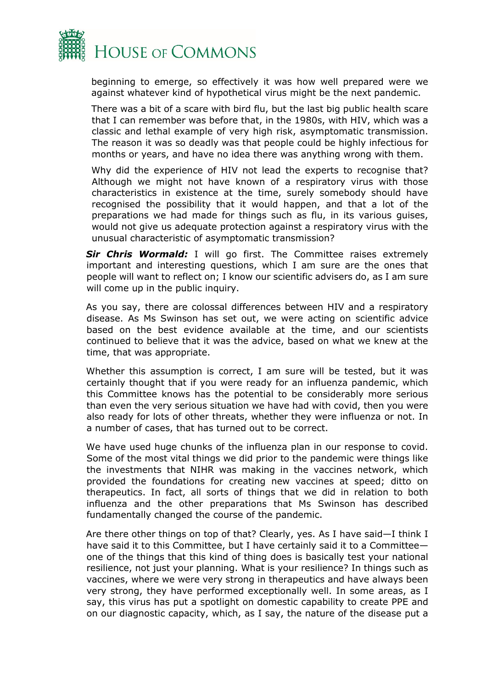

beginning to emerge, so effectively it was how well prepared were we against whatever kind of hypothetical virus might be the next pandemic.

There was a bit of a scare with bird flu, but the last big public health scare that I can remember was before that, in the 1980s, with HIV, which was a classic and lethal example of very high risk, asymptomatic transmission. The reason it was so deadly was that people could be highly infectious for months or years, and have no idea there was anything wrong with them.

Why did the experience of HIV not lead the experts to recognise that? Although we might not have known of a respiratory virus with those characteristics in existence at the time, surely somebody should have recognised the possibility that it would happen, and that a lot of the preparations we had made for things such as flu, in its various guises, would not give us adequate protection against a respiratory virus with the unusual characteristic of asymptomatic transmission?

**Sir Chris Wormald:** I will go first. The Committee raises extremely important and interesting questions, which I am sure are the ones that people will want to reflect on; I know our scientific advisers do, as I am sure will come up in the public inquiry.

As you say, there are colossal differences between HIV and a respiratory disease. As Ms Swinson has set out, we were acting on scientific advice based on the best evidence available at the time, and our scientists continued to believe that it was the advice, based on what we knew at the time, that was appropriate.

Whether this assumption is correct, I am sure will be tested, but it was certainly thought that if you were ready for an influenza pandemic, which this Committee knows has the potential to be considerably more serious than even the very serious situation we have had with covid, then you were also ready for lots of other threats, whether they were influenza or not. In a number of cases, that has turned out to be correct.

We have used huge chunks of the influenza plan in our response to covid. Some of the most vital things we did prior to the pandemic were things like the investments that NIHR was making in the vaccines network, which provided the foundations for creating new vaccines at speed; ditto on therapeutics. In fact, all sorts of things that we did in relation to both influenza and the other preparations that Ms Swinson has described fundamentally changed the course of the pandemic.

Are there other things on top of that? Clearly, yes. As I have said—I think I have said it to this Committee, but I have certainly said it to a Committee one of the things that this kind of thing does is basically test your national resilience, not just your planning. What is your resilience? In things such as vaccines, where we were very strong in therapeutics and have always been very strong, they have performed exceptionally well. In some areas, as I say, this virus has put a spotlight on domestic capability to create PPE and on our diagnostic capacity, which, as I say, the nature of the disease put a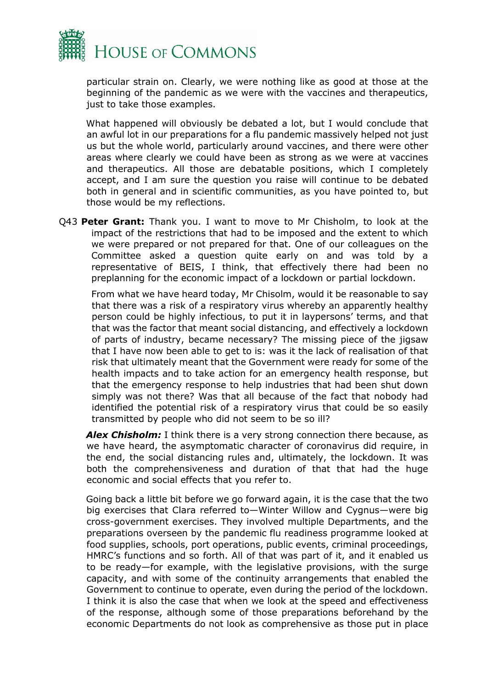

particular strain on. Clearly, we were nothing like as good at those at the beginning of the pandemic as we were with the vaccines and therapeutics, just to take those examples.

What happened will obviously be debated a lot, but I would conclude that an awful lot in our preparations for a flu pandemic massively helped not just us but the whole world, particularly around vaccines, and there were other areas where clearly we could have been as strong as we were at vaccines and therapeutics. All those are debatable positions, which I completely accept, and I am sure the question you raise will continue to be debated both in general and in scientific communities, as you have pointed to, but those would be my reflections.

Q43 **Peter Grant:** Thank you. I want to move to Mr Chisholm, to look at the impact of the restrictions that had to be imposed and the extent to which we were prepared or not prepared for that. One of our colleagues on the Committee asked a question quite early on and was told by a representative of BEIS, I think, that effectively there had been no preplanning for the economic impact of a lockdown or partial lockdown.

From what we have heard today, Mr Chisolm, would it be reasonable to say that there was a risk of a respiratory virus whereby an apparently healthy person could be highly infectious, to put it in laypersons' terms, and that that was the factor that meant social distancing, and effectively a lockdown of parts of industry, became necessary? The missing piece of the jigsaw that I have now been able to get to is: was it the lack of realisation of that risk that ultimately meant that the Government were ready for some of the health impacts and to take action for an emergency health response, but that the emergency response to help industries that had been shut down simply was not there? Was that all because of the fact that nobody had identified the potential risk of a respiratory virus that could be so easily transmitted by people who did not seem to be so ill?

*Alex Chisholm:* I think there is a very strong connection there because, as we have heard, the asymptomatic character of coronavirus did require, in the end, the social distancing rules and, ultimately, the lockdown. It was both the comprehensiveness and duration of that that had the huge economic and social effects that you refer to.

Going back a little bit before we go forward again, it is the case that the two big exercises that Clara referred to—Winter Willow and Cygnus—were big cross-government exercises. They involved multiple Departments, and the preparations overseen by the pandemic flu readiness programme looked at food supplies, schools, port operations, public events, criminal proceedings, HMRC's functions and so forth. All of that was part of it, and it enabled us to be ready—for example, with the legislative provisions, with the surge capacity, and with some of the continuity arrangements that enabled the Government to continue to operate, even during the period of the lockdown. I think it is also the case that when we look at the speed and effectiveness of the response, although some of those preparations beforehand by the economic Departments do not look as comprehensive as those put in place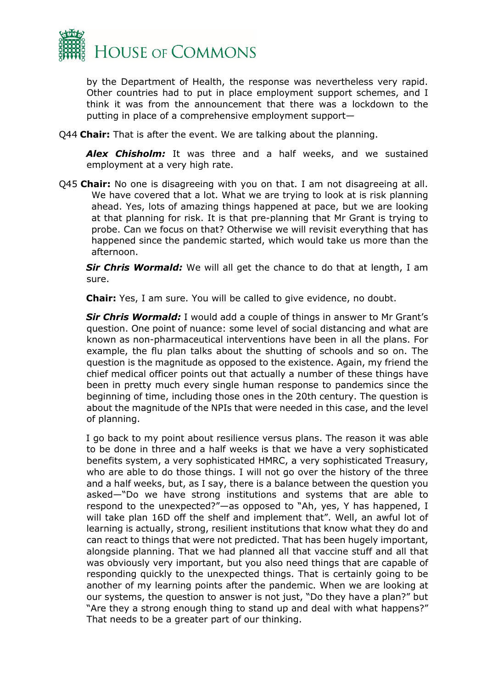

by the Department of Health, the response was nevertheless very rapid. Other countries had to put in place employment support schemes, and I think it was from the announcement that there was a lockdown to the putting in place of a comprehensive employment support—

Q44 **Chair:** That is after the event. We are talking about the planning.

*Alex Chisholm:* It was three and a half weeks, and we sustained employment at a very high rate.

Q45 **Chair:** No one is disagreeing with you on that. I am not disagreeing at all. We have covered that a lot. What we are trying to look at is risk planning ahead. Yes, lots of amazing things happened at pace, but we are looking at that planning for risk. It is that pre-planning that Mr Grant is trying to probe. Can we focus on that? Otherwise we will revisit everything that has happened since the pandemic started, which would take us more than the afternoon.

*Sir Chris Wormald:* We will all get the chance to do that at length, I am sure.

**Chair:** Yes, I am sure. You will be called to give evidence, no doubt.

*Sir Chris Wormald:* I would add a couple of things in answer to Mr Grant's question. One point of nuance: some level of social distancing and what are known as non-pharmaceutical interventions have been in all the plans. For example, the flu plan talks about the shutting of schools and so on. The question is the magnitude as opposed to the existence. Again, my friend the chief medical officer points out that actually a number of these things have been in pretty much every single human response to pandemics since the beginning of time, including those ones in the 20th century. The question is about the magnitude of the NPIs that were needed in this case, and the level of planning.

I go back to my point about resilience versus plans. The reason it was able to be done in three and a half weeks is that we have a very sophisticated benefits system, a very sophisticated HMRC, a very sophisticated Treasury, who are able to do those things. I will not go over the history of the three and a half weeks, but, as I say, there is a balance between the question you asked—"Do we have strong institutions and systems that are able to respond to the unexpected?"—as opposed to "Ah, yes, Y has happened, I will take plan 16D off the shelf and implement that". Well, an awful lot of learning is actually, strong, resilient institutions that know what they do and can react to things that were not predicted. That has been hugely important, alongside planning. That we had planned all that vaccine stuff and all that was obviously very important, but you also need things that are capable of responding quickly to the unexpected things. That is certainly going to be another of my learning points after the pandemic. When we are looking at our systems, the question to answer is not just, "Do they have a plan?" but "Are they a strong enough thing to stand up and deal with what happens?" That needs to be a greater part of our thinking.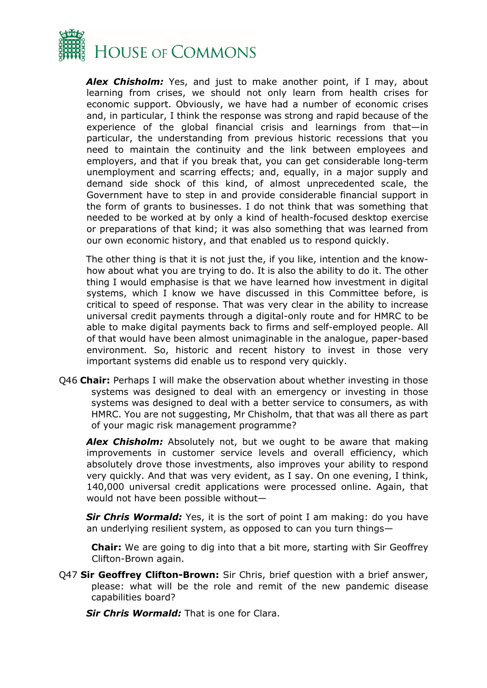

*Alex Chisholm:* Yes, and just to make another point, if I may, about learning from crises, we should not only learn from health crises for economic support. Obviously, we have had a number of economic crises and, in particular, I think the response was strong and rapid because of the experience of the global financial crisis and learnings from that—in particular, the understanding from previous historic recessions that you need to maintain the continuity and the link between employees and employers, and that if you break that, you can get considerable long-term unemployment and scarring effects; and, equally, in a major supply and demand side shock of this kind, of almost unprecedented scale, the Government have to step in and provide considerable financial support in the form of grants to businesses. I do not think that was something that needed to be worked at by only a kind of health-focused desktop exercise or preparations of that kind; it was also something that was learned from our own economic history, and that enabled us to respond quickly.

The other thing is that it is not just the, if you like, intention and the knowhow about what you are trying to do. It is also the ability to do it. The other thing I would emphasise is that we have learned how investment in digital systems, which I know we have discussed in this Committee before, is critical to speed of response. That was very clear in the ability to increase universal credit payments through a digital-only route and for HMRC to be able to make digital payments back to firms and self-employed people. All of that would have been almost unimaginable in the analogue, paper-based environment. So, historic and recent history to invest in those very important systems did enable us to respond very quickly.

Q46 **Chair:** Perhaps I will make the observation about whether investing in those systems was designed to deal with an emergency or investing in those systems was designed to deal with a better service to consumers, as with HMRC. You are not suggesting, Mr Chisholm, that that was all there as part of your magic risk management programme?

*Alex Chisholm:* Absolutely not, but we ought to be aware that making improvements in customer service levels and overall efficiency, which absolutely drove those investments, also improves your ability to respond very quickly. And that was very evident, as I say. On one evening, I think, 140,000 universal credit applications were processed online. Again, that would not have been possible without—

**Sir Chris Wormald:** Yes, it is the sort of point I am making: do you have an underlying resilient system, as opposed to can you turn things—

**Chair:** We are going to dig into that a bit more, starting with Sir Geoffrey Clifton-Brown again.

Q47 **Sir Geoffrey Clifton-Brown:** Sir Chris, brief question with a brief answer, please: what will be the role and remit of the new pandemic disease capabilities board?

*Sir Chris Wormald: That is one for Clara.*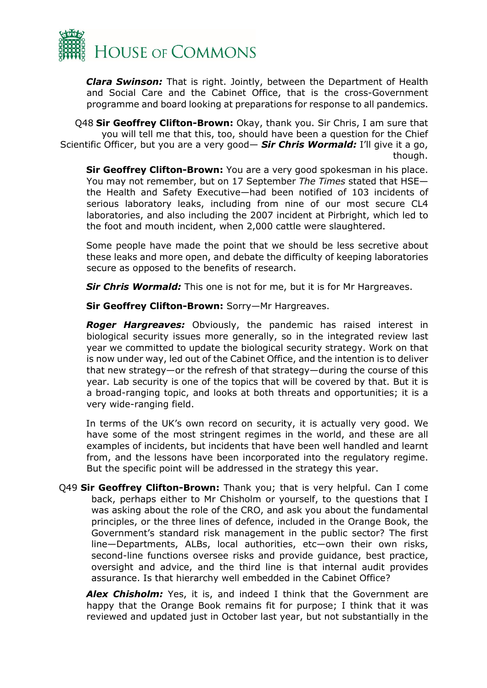

*Clara Swinson:* That is right. Jointly, between the Department of Health and Social Care and the Cabinet Office, that is the cross-Government programme and board looking at preparations for response to all pandemics.

Q48 **Sir Geoffrey Clifton-Brown:** Okay, thank you. Sir Chris, I am sure that you will tell me that this, too, should have been a question for the Chief Scientific Officer, but you are a very good— *Sir Chris Wormald:* I'll give it a go, though.

**Sir Geoffrey Clifton-Brown:** You are a very good spokesman in his place. You may not remember, but on 17 September *The Times* stated that HSE the Health and Safety Executive—had been notified of 103 incidents of serious laboratory leaks, including from nine of our most secure CL4 laboratories, and also including the 2007 incident at Pirbright, which led to the foot and mouth incident, when 2,000 cattle were slaughtered.

Some people have made the point that we should be less secretive about these leaks and more open, and debate the difficulty of keeping laboratories secure as opposed to the benefits of research.

*Sir Chris Wormald:* This one is not for me, but it is for Mr Hargreaves.

**Sir Geoffrey Clifton-Brown:** Sorry—Mr Hargreaves.

*Roger Hargreaves:* Obviously, the pandemic has raised interest in biological security issues more generally, so in the integrated review last year we committed to update the biological security strategy. Work on that is now under way, led out of the Cabinet Office, and the intention is to deliver that new strategy—or the refresh of that strategy—during the course of this year. Lab security is one of the topics that will be covered by that. But it is a broad-ranging topic, and looks at both threats and opportunities; it is a very wide-ranging field.

In terms of the UK's own record on security, it is actually very good. We have some of the most stringent regimes in the world, and these are all examples of incidents, but incidents that have been well handled and learnt from, and the lessons have been incorporated into the regulatory regime. But the specific point will be addressed in the strategy this year.

Q49 **Sir Geoffrey Clifton-Brown:** Thank you; that is very helpful. Can I come back, perhaps either to Mr Chisholm or yourself, to the questions that I was asking about the role of the CRO, and ask you about the fundamental principles, or the three lines of defence, included in the Orange Book, the Government's standard risk management in the public sector? The first line—Departments, ALBs, local authorities, etc—own their own risks, second-line functions oversee risks and provide guidance, best practice, oversight and advice, and the third line is that internal audit provides assurance. Is that hierarchy well embedded in the Cabinet Office?

*Alex Chisholm:* Yes, it is, and indeed I think that the Government are happy that the Orange Book remains fit for purpose; I think that it was reviewed and updated just in October last year, but not substantially in the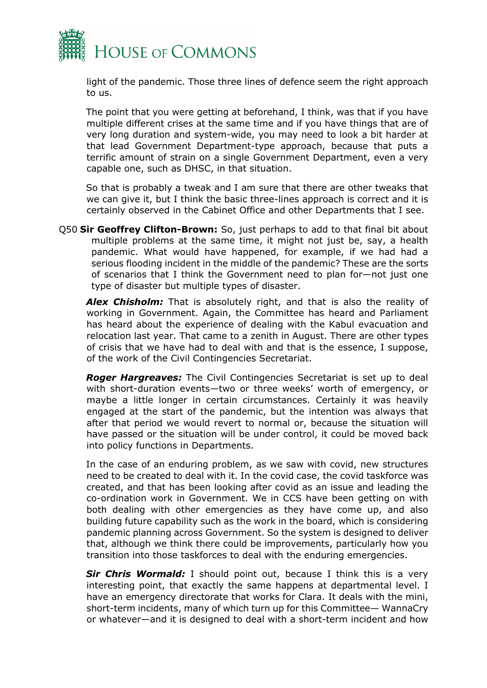

light of the pandemic. Those three lines of defence seem the right approach to us.

The point that you were getting at beforehand, I think, was that if you have multiple different crises at the same time and if you have things that are of very long duration and system-wide, you may need to look a bit harder at that lead Government Department-type approach, because that puts a terrific amount of strain on a single Government Department, even a very capable one, such as DHSC, in that situation.

So that is probably a tweak and I am sure that there are other tweaks that we can give it, but I think the basic three-lines approach is correct and it is certainly observed in the Cabinet Office and other Departments that I see.

Q50 **Sir Geoffrey Clifton-Brown:** So, just perhaps to add to that final bit about multiple problems at the same time, it might not just be, say, a health pandemic. What would have happened, for example, if we had had a serious flooding incident in the middle of the pandemic? These are the sorts of scenarios that I think the Government need to plan for—not just one type of disaster but multiple types of disaster.

*Alex Chisholm:* That is absolutely right, and that is also the reality of working in Government. Again, the Committee has heard and Parliament has heard about the experience of dealing with the Kabul evacuation and relocation last year. That came to a zenith in August. There are other types of crisis that we have had to deal with and that is the essence, I suppose, of the work of the Civil Contingencies Secretariat.

*Roger Hargreaves:* The Civil Contingencies Secretariat is set up to deal with short-duration events—two or three weeks' worth of emergency, or maybe a little longer in certain circumstances. Certainly it was heavily engaged at the start of the pandemic, but the intention was always that after that period we would revert to normal or, because the situation will have passed or the situation will be under control, it could be moved back into policy functions in Departments.

In the case of an enduring problem, as we saw with covid, new structures need to be created to deal with it. In the covid case, the covid taskforce was created, and that has been looking after covid as an issue and leading the co-ordination work in Government. We in CCS have been getting on with both dealing with other emergencies as they have come up, and also building future capability such as the work in the board, which is considering pandemic planning across Government. So the system is designed to deliver that, although we think there could be improvements, particularly how you transition into those taskforces to deal with the enduring emergencies.

**Sir Chris Wormald:** I should point out, because I think this is a very interesting point, that exactly the same happens at departmental level. I have an emergency directorate that works for Clara. It deals with the mini, short-term incidents, many of which turn up for this Committee— WannaCry or whatever—and it is designed to deal with a short-term incident and how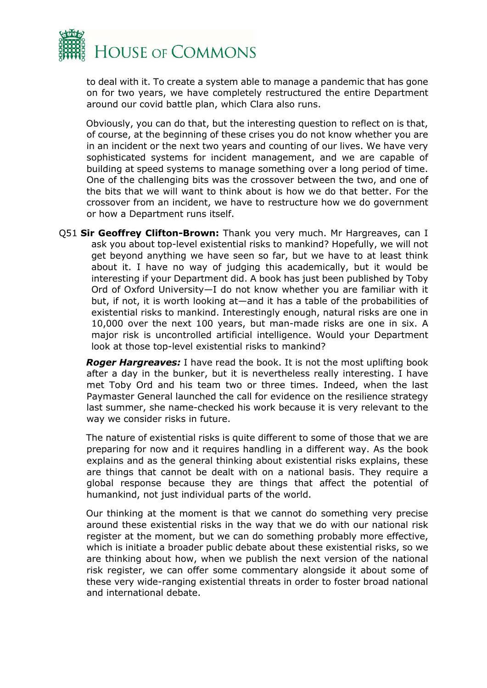

to deal with it. To create a system able to manage a pandemic that has gone on for two years, we have completely restructured the entire Department around our covid battle plan, which Clara also runs.

Obviously, you can do that, but the interesting question to reflect on is that, of course, at the beginning of these crises you do not know whether you are in an incident or the next two years and counting of our lives. We have very sophisticated systems for incident management, and we are capable of building at speed systems to manage something over a long period of time. One of the challenging bits was the crossover between the two, and one of the bits that we will want to think about is how we do that better. For the crossover from an incident, we have to restructure how we do government or how a Department runs itself.

Q51 **Sir Geoffrey Clifton-Brown:** Thank you very much. Mr Hargreaves, can I ask you about top-level existential risks to mankind? Hopefully, we will not get beyond anything we have seen so far, but we have to at least think about it. I have no way of judging this academically, but it would be interesting if your Department did. A book has just been published by Toby Ord of Oxford University—I do not know whether you are familiar with it but, if not, it is worth looking at—and it has a table of the probabilities of existential risks to mankind. Interestingly enough, natural risks are one in 10,000 over the next 100 years, but man-made risks are one in six. A major risk is uncontrolled artificial intelligence. Would your Department look at those top-level existential risks to mankind?

*Roger Hargreaves:* I have read the book. It is not the most uplifting book after a day in the bunker, but it is nevertheless really interesting. I have met Toby Ord and his team two or three times. Indeed, when the last Paymaster General launched the call for evidence on the resilience strategy last summer, she name-checked his work because it is very relevant to the way we consider risks in future.

The nature of existential risks is quite different to some of those that we are preparing for now and it requires handling in a different way. As the book explains and as the general thinking about existential risks explains, these are things that cannot be dealt with on a national basis. They require a global response because they are things that affect the potential of humankind, not just individual parts of the world.

Our thinking at the moment is that we cannot do something very precise around these existential risks in the way that we do with our national risk register at the moment, but we can do something probably more effective, which is initiate a broader public debate about these existential risks, so we are thinking about how, when we publish the next version of the national risk register, we can offer some commentary alongside it about some of these very wide-ranging existential threats in order to foster broad national and international debate.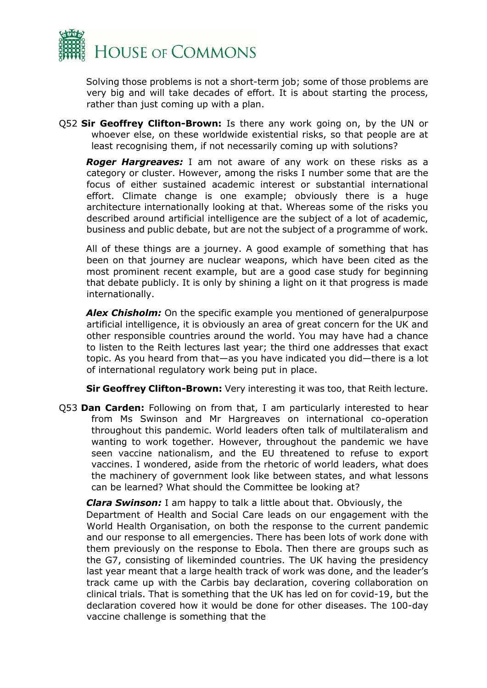

Solving those problems is not a short-term job; some of those problems are very big and will take decades of effort. It is about starting the process, rather than just coming up with a plan.

Q52 **Sir Geoffrey Clifton-Brown:** Is there any work going on, by the UN or whoever else, on these worldwide existential risks, so that people are at least recognising them, if not necessarily coming up with solutions?

*Roger Hargreaves:* I am not aware of any work on these risks as a category or cluster. However, among the risks I number some that are the focus of either sustained academic interest or substantial international effort. Climate change is one example; obviously there is a huge architecture internationally looking at that. Whereas some of the risks you described around artificial intelligence are the subject of a lot of academic, business and public debate, but are not the subject of a programme of work.

All of these things are a journey. A good example of something that has been on that journey are nuclear weapons, which have been cited as the most prominent recent example, but are a good case study for beginning that debate publicly. It is only by shining a light on it that progress is made internationally.

*Alex Chisholm:* On the specific example you mentioned of generalpurpose artificial intelligence, it is obviously an area of great concern for the UK and other responsible countries around the world. You may have had a chance to listen to the Reith lectures last year; the third one addresses that exact topic. As you heard from that—as you have indicated you did—there is a lot of international regulatory work being put in place.

**Sir Geoffrey Clifton-Brown:** Very interesting it was too, that Reith lecture.

Q53 **Dan Carden:** Following on from that, I am particularly interested to hear from Ms Swinson and Mr Hargreaves on international co-operation throughout this pandemic. World leaders often talk of multilateralism and wanting to work together. However, throughout the pandemic we have seen vaccine nationalism, and the EU threatened to refuse to export vaccines. I wondered, aside from the rhetoric of world leaders, what does the machinery of government look like between states, and what lessons can be learned? What should the Committee be looking at?

*Clara Swinson:* I am happy to talk a little about that. Obviously, the Department of Health and Social Care leads on our engagement with the World Health Organisation, on both the response to the current pandemic and our response to all emergencies. There has been lots of work done with them previously on the response to Ebola. Then there are groups such as the G7, consisting of likeminded countries. The UK having the presidency last year meant that a large health track of work was done, and the leader's track came up with the Carbis bay declaration, covering collaboration on clinical trials. That is something that the UK has led on for covid-19, but the declaration covered how it would be done for other diseases. The 100-day vaccine challenge is something that the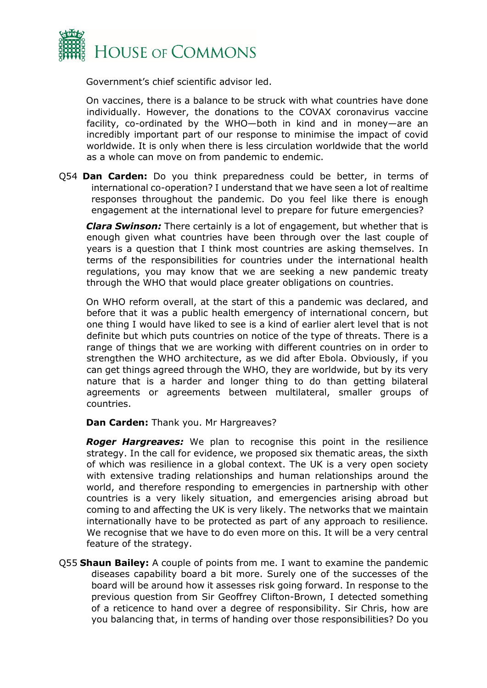

Government's chief scientific advisor led.

On vaccines, there is a balance to be struck with what countries have done individually. However, the donations to the COVAX coronavirus vaccine facility, co-ordinated by the WHO—both in kind and in money—are an incredibly important part of our response to minimise the impact of covid worldwide. It is only when there is less circulation worldwide that the world as a whole can move on from pandemic to endemic.

Q54 **Dan Carden:** Do you think preparedness could be better, in terms of international co-operation? I understand that we have seen a lot of realtime responses throughout the pandemic. Do you feel like there is enough engagement at the international level to prepare for future emergencies?

*Clara Swinson:* There certainly is a lot of engagement, but whether that is enough given what countries have been through over the last couple of years is a question that I think most countries are asking themselves. In terms of the responsibilities for countries under the international health regulations, you may know that we are seeking a new pandemic treaty through the WHO that would place greater obligations on countries.

On WHO reform overall, at the start of this a pandemic was declared, and before that it was a public health emergency of international concern, but one thing I would have liked to see is a kind of earlier alert level that is not definite but which puts countries on notice of the type of threats. There is a range of things that we are working with different countries on in order to strengthen the WHO architecture, as we did after Ebola. Obviously, if you can get things agreed through the WHO, they are worldwide, but by its very nature that is a harder and longer thing to do than getting bilateral agreements or agreements between multilateral, smaller groups of countries.

**Dan Carden:** Thank you. Mr Hargreaves?

*Roger Hargreaves:* We plan to recognise this point in the resilience strategy. In the call for evidence, we proposed six thematic areas, the sixth of which was resilience in a global context. The UK is a very open society with extensive trading relationships and human relationships around the world, and therefore responding to emergencies in partnership with other countries is a very likely situation, and emergencies arising abroad but coming to and affecting the UK is very likely. The networks that we maintain internationally have to be protected as part of any approach to resilience. We recognise that we have to do even more on this. It will be a very central feature of the strategy.

Q55 **Shaun Bailey:** A couple of points from me. I want to examine the pandemic diseases capability board a bit more. Surely one of the successes of the board will be around how it assesses risk going forward. In response to the previous question from Sir Geoffrey Clifton-Brown, I detected something of a reticence to hand over a degree of responsibility. Sir Chris, how are you balancing that, in terms of handing over those responsibilities? Do you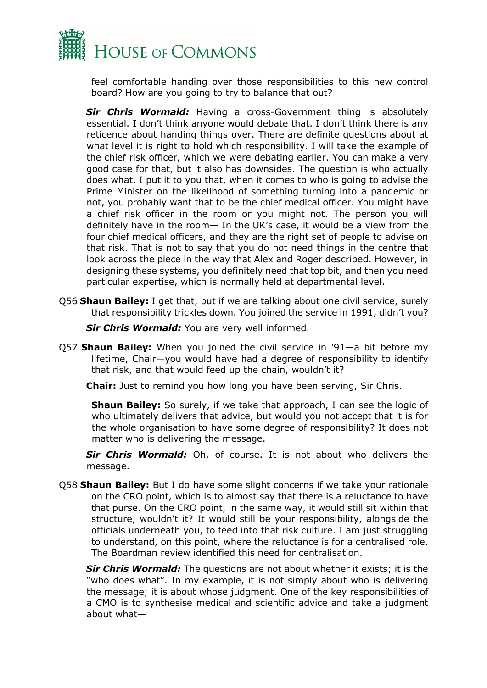

feel comfortable handing over those responsibilities to this new control board? How are you going to try to balance that out?

*Sir Chris Wormald:* Having a cross-Government thing is absolutely essential. I don't think anyone would debate that. I don't think there is any reticence about handing things over. There are definite questions about at what level it is right to hold which responsibility. I will take the example of the chief risk officer, which we were debating earlier. You can make a very good case for that, but it also has downsides. The question is who actually does what. I put it to you that, when it comes to who is going to advise the Prime Minister on the likelihood of something turning into a pandemic or not, you probably want that to be the chief medical officer. You might have a chief risk officer in the room or you might not. The person you will definitely have in the room— In the UK's case, it would be a view from the four chief medical officers, and they are the right set of people to advise on that risk. That is not to say that you do not need things in the centre that look across the piece in the way that Alex and Roger described. However, in designing these systems, you definitely need that top bit, and then you need particular expertise, which is normally held at departmental level.

Q56 **Shaun Bailey:** I get that, but if we are talking about one civil service, surely that responsibility trickles down. You joined the service in 1991, didn't you?

*Sir Chris Wormald:* You are very well informed.

Q57 **Shaun Bailey:** When you joined the civil service in '91—a bit before my lifetime, Chair—you would have had a degree of responsibility to identify that risk, and that would feed up the chain, wouldn't it?

**Chair:** Just to remind you how long you have been serving, Sir Chris.

**Shaun Bailey:** So surely, if we take that approach, I can see the logic of who ultimately delivers that advice, but would you not accept that it is for the whole organisation to have some degree of responsibility? It does not matter who is delivering the message.

*Sir Chris Wormald:* Oh, of course. It is not about who delivers the message.

Q58 **Shaun Bailey:** But I do have some slight concerns if we take your rationale on the CRO point, which is to almost say that there is a reluctance to have that purse. On the CRO point, in the same way, it would still sit within that structure, wouldn't it? It would still be your responsibility, alongside the officials underneath you, to feed into that risk culture. I am just struggling to understand, on this point, where the reluctance is for a centralised role. The Boardman review identified this need for centralisation.

*Sir Chris Wormald:* The questions are not about whether it exists; it is the "who does what". In my example, it is not simply about who is delivering the message; it is about whose judgment. One of the key responsibilities of a CMO is to synthesise medical and scientific advice and take a judgment about what—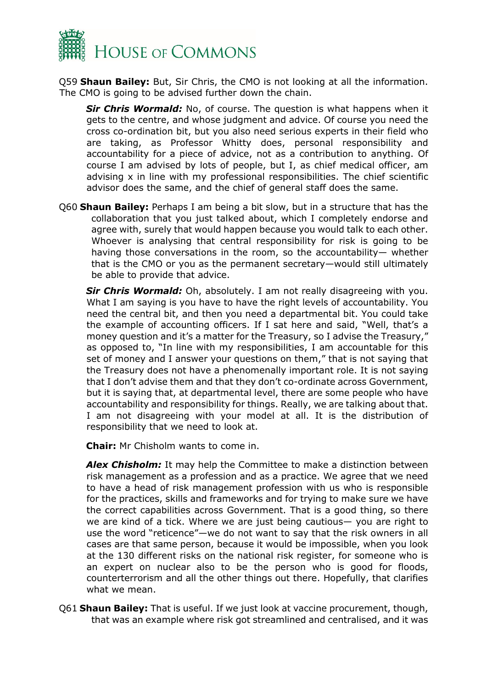

Q59 **Shaun Bailey:** But, Sir Chris, the CMO is not looking at all the information. The CMO is going to be advised further down the chain.

**Sir Chris Wormald:** No, of course. The question is what happens when it gets to the centre, and whose judgment and advice. Of course you need the cross co-ordination bit, but you also need serious experts in their field who are taking, as Professor Whitty does, personal responsibility and accountability for a piece of advice, not as a contribution to anything. Of course I am advised by lots of people, but I, as chief medical officer, am advising x in line with my professional responsibilities. The chief scientific advisor does the same, and the chief of general staff does the same.

Q60 **Shaun Bailey:** Perhaps I am being a bit slow, but in a structure that has the collaboration that you just talked about, which I completely endorse and agree with, surely that would happen because you would talk to each other. Whoever is analysing that central responsibility for risk is going to be having those conversations in the room, so the accountability— whether that is the CMO or you as the permanent secretary—would still ultimately be able to provide that advice.

*Sir Chris Wormald:* Oh, absolutely. I am not really disagreeing with you. What I am saying is you have to have the right levels of accountability. You need the central bit, and then you need a departmental bit. You could take the example of accounting officers. If I sat here and said, "Well, that's a money question and it's a matter for the Treasury, so I advise the Treasury," as opposed to, "In line with my responsibilities, I am accountable for this set of money and I answer your questions on them," that is not saying that the Treasury does not have a phenomenally important role. It is not saying that I don't advise them and that they don't co-ordinate across Government, but it is saying that, at departmental level, there are some people who have accountability and responsibility for things. Really, we are talking about that. I am not disagreeing with your model at all. It is the distribution of responsibility that we need to look at.

**Chair:** Mr Chisholm wants to come in.

*Alex Chisholm:* It may help the Committee to make a distinction between risk management as a profession and as a practice. We agree that we need to have a head of risk management profession with us who is responsible for the practices, skills and frameworks and for trying to make sure we have the correct capabilities across Government. That is a good thing, so there we are kind of a tick. Where we are just being cautious— you are right to use the word "reticence"—we do not want to say that the risk owners in all cases are that same person, because it would be impossible, when you look at the 130 different risks on the national risk register, for someone who is an expert on nuclear also to be the person who is good for floods, counterterrorism and all the other things out there. Hopefully, that clarifies what we mean.

Q61 **Shaun Bailey:** That is useful. If we just look at vaccine procurement, though, that was an example where risk got streamlined and centralised, and it was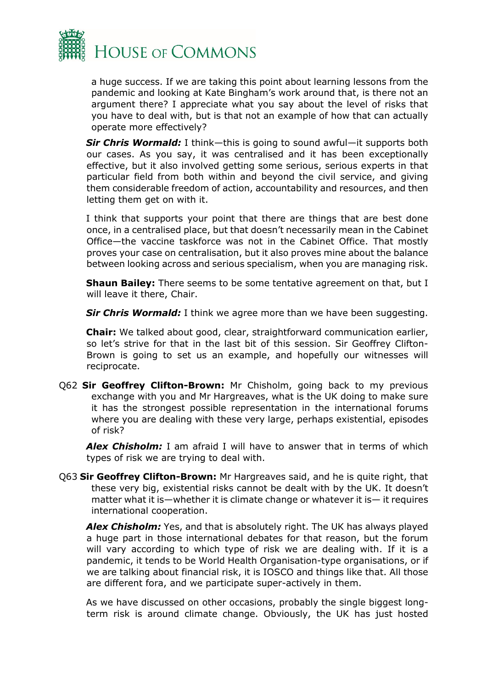

a huge success. If we are taking this point about learning lessons from the pandemic and looking at Kate Bingham's work around that, is there not an argument there? I appreciate what you say about the level of risks that you have to deal with, but is that not an example of how that can actually operate more effectively?

*Sir Chris Wormald:* I think—this is going to sound awful—it supports both our cases. As you say, it was centralised and it has been exceptionally effective, but it also involved getting some serious, serious experts in that particular field from both within and beyond the civil service, and giving them considerable freedom of action, accountability and resources, and then letting them get on with it.

I think that supports your point that there are things that are best done once, in a centralised place, but that doesn't necessarily mean in the Cabinet Office—the vaccine taskforce was not in the Cabinet Office. That mostly proves your case on centralisation, but it also proves mine about the balance between looking across and serious specialism, when you are managing risk.

**Shaun Bailey:** There seems to be some tentative agreement on that, but I will leave it there, Chair.

**Sir Chris Wormald:** I think we agree more than we have been suggesting.

**Chair:** We talked about good, clear, straightforward communication earlier, so let's strive for that in the last bit of this session. Sir Geoffrey Clifton-Brown is going to set us an example, and hopefully our witnesses will reciprocate.

Q62 **Sir Geoffrey Clifton-Brown:** Mr Chisholm, going back to my previous exchange with you and Mr Hargreaves, what is the UK doing to make sure it has the strongest possible representation in the international forums where you are dealing with these very large, perhaps existential, episodes of risk?

*Alex Chisholm:* I am afraid I will have to answer that in terms of which types of risk we are trying to deal with.

Q63 **Sir Geoffrey Clifton-Brown:** Mr Hargreaves said, and he is quite right, that these very big, existential risks cannot be dealt with by the UK. It doesn't matter what it is—whether it is climate change or whatever it is— it requires international cooperation.

*Alex Chisholm:* Yes, and that is absolutely right. The UK has always played a huge part in those international debates for that reason, but the forum will vary according to which type of risk we are dealing with. If it is a pandemic, it tends to be World Health Organisation-type organisations, or if we are talking about financial risk, it is IOSCO and things like that. All those are different fora, and we participate super-actively in them.

As we have discussed on other occasions, probably the single biggest longterm risk is around climate change. Obviously, the UK has just hosted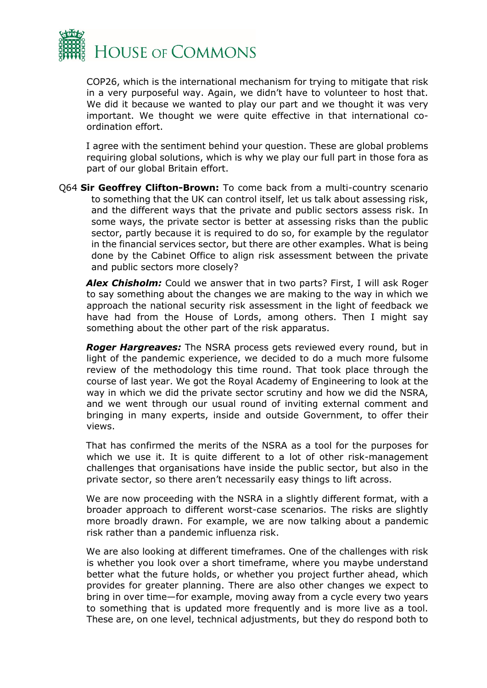

COP26, which is the international mechanism for trying to mitigate that risk in a very purposeful way. Again, we didn't have to volunteer to host that. We did it because we wanted to play our part and we thought it was very important. We thought we were quite effective in that international coordination effort.

I agree with the sentiment behind your question. These are global problems requiring global solutions, which is why we play our full part in those fora as part of our global Britain effort.

Q64 **Sir Geoffrey Clifton-Brown:** To come back from a multi-country scenario to something that the UK can control itself, let us talk about assessing risk, and the different ways that the private and public sectors assess risk. In some ways, the private sector is better at assessing risks than the public sector, partly because it is required to do so, for example by the regulator in the financial services sector, but there are other examples. What is being done by the Cabinet Office to align risk assessment between the private and public sectors more closely?

*Alex Chisholm:* Could we answer that in two parts? First, I will ask Roger to say something about the changes we are making to the way in which we approach the national security risk assessment in the light of feedback we have had from the House of Lords, among others. Then I might say something about the other part of the risk apparatus.

*Roger Hargreaves:* The NSRA process gets reviewed every round, but in light of the pandemic experience, we decided to do a much more fulsome review of the methodology this time round. That took place through the course of last year. We got the Royal Academy of Engineering to look at the way in which we did the private sector scrutiny and how we did the NSRA, and we went through our usual round of inviting external comment and bringing in many experts, inside and outside Government, to offer their views.

That has confirmed the merits of the NSRA as a tool for the purposes for which we use it. It is quite different to a lot of other risk-management challenges that organisations have inside the public sector, but also in the private sector, so there aren't necessarily easy things to lift across.

We are now proceeding with the NSRA in a slightly different format, with a broader approach to different worst-case scenarios. The risks are slightly more broadly drawn. For example, we are now talking about a pandemic risk rather than a pandemic influenza risk.

We are also looking at different timeframes. One of the challenges with risk is whether you look over a short timeframe, where you maybe understand better what the future holds, or whether you project further ahead, which provides for greater planning. There are also other changes we expect to bring in over time—for example, moving away from a cycle every two years to something that is updated more frequently and is more live as a tool. These are, on one level, technical adjustments, but they do respond both to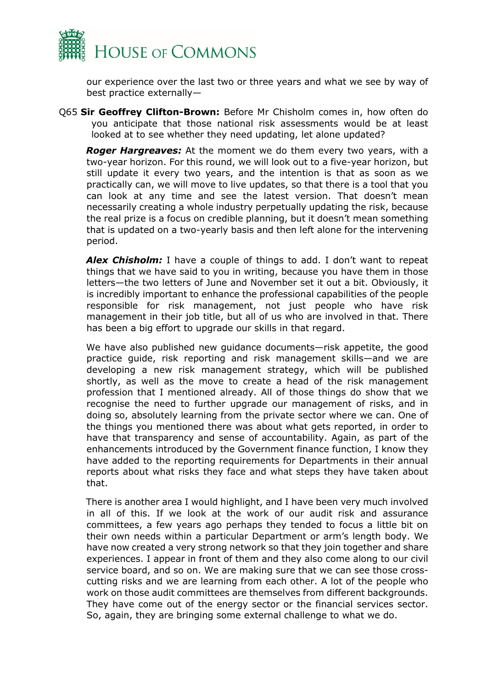

our experience over the last two or three years and what we see by way of best practice externally—

Q65 **Sir Geoffrey Clifton-Brown:** Before Mr Chisholm comes in, how often do you anticipate that those national risk assessments would be at least looked at to see whether they need updating, let alone updated?

*Roger Hargreaves:* At the moment we do them every two years, with a two-year horizon. For this round, we will look out to a five-year horizon, but still update it every two years, and the intention is that as soon as we practically can, we will move to live updates, so that there is a tool that you can look at any time and see the latest version. That doesn't mean necessarily creating a whole industry perpetually updating the risk, because the real prize is a focus on credible planning, but it doesn't mean something that is updated on a two-yearly basis and then left alone for the intervening period.

**Alex Chisholm:** I have a couple of things to add. I don't want to repeat things that we have said to you in writing, because you have them in those letters—the two letters of June and November set it out a bit. Obviously, it is incredibly important to enhance the professional capabilities of the people responsible for risk management, not just people who have risk management in their job title, but all of us who are involved in that. There has been a big effort to upgrade our skills in that regard.

We have also published new guidance documents—risk appetite, the good practice guide, risk reporting and risk management skills—and we are developing a new risk management strategy, which will be published shortly, as well as the move to create a head of the risk management profession that I mentioned already. All of those things do show that we recognise the need to further upgrade our management of risks, and in doing so, absolutely learning from the private sector where we can. One of the things you mentioned there was about what gets reported, in order to have that transparency and sense of accountability. Again, as part of the enhancements introduced by the Government finance function, I know they have added to the reporting requirements for Departments in their annual reports about what risks they face and what steps they have taken about that.

There is another area I would highlight, and I have been very much involved in all of this. If we look at the work of our audit risk and assurance committees, a few years ago perhaps they tended to focus a little bit on their own needs within a particular Department or arm's length body. We have now created a very strong network so that they join together and share experiences. I appear in front of them and they also come along to our civil service board, and so on. We are making sure that we can see those crosscutting risks and we are learning from each other. A lot of the people who work on those audit committees are themselves from different backgrounds. They have come out of the energy sector or the financial services sector. So, again, they are bringing some external challenge to what we do.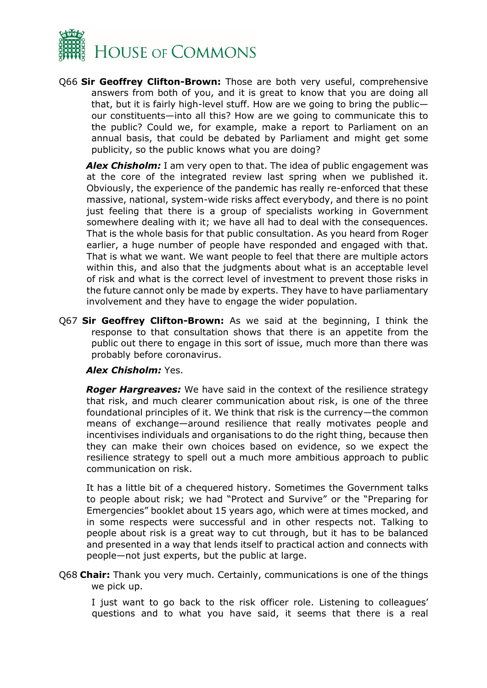

Q66 **Sir Geoffrey Clifton-Brown:** Those are both very useful, comprehensive answers from both of you, and it is great to know that you are doing all that, but it is fairly high-level stuff. How are we going to bring the public our constituents—into all this? How are we going to communicate this to the public? Could we, for example, make a report to Parliament on an annual basis, that could be debated by Parliament and might get some publicity, so the public knows what you are doing?

*Alex Chisholm:* I am very open to that. The idea of public engagement was at the core of the integrated review last spring when we published it. Obviously, the experience of the pandemic has really re-enforced that these massive, national, system-wide risks affect everybody, and there is no point just feeling that there is a group of specialists working in Government somewhere dealing with it; we have all had to deal with the consequences. That is the whole basis for that public consultation. As you heard from Roger earlier, a huge number of people have responded and engaged with that. That is what we want. We want people to feel that there are multiple actors within this, and also that the judgments about what is an acceptable level of risk and what is the correct level of investment to prevent those risks in the future cannot only be made by experts. They have to have parliamentary involvement and they have to engage the wider population.

Q67 **Sir Geoffrey Clifton-Brown:** As we said at the beginning, I think the response to that consultation shows that there is an appetite from the public out there to engage in this sort of issue, much more than there was probably before coronavirus.

#### *Alex Chisholm:* Yes.

*Roger Hargreaves:* We have said in the context of the resilience strategy that risk, and much clearer communication about risk, is one of the three foundational principles of it. We think that risk is the currency—the common means of exchange—around resilience that really motivates people and incentivises individuals and organisations to do the right thing, because then they can make their own choices based on evidence, so we expect the resilience strategy to spell out a much more ambitious approach to public communication on risk.

It has a little bit of a chequered history. Sometimes the Government talks to people about risk; we had "Protect and Survive" or the "Preparing for Emergencies" booklet about 15 years ago, which were at times mocked, and in some respects were successful and in other respects not. Talking to people about risk is a great way to cut through, but it has to be balanced and presented in a way that lends itself to practical action and connects with people—not just experts, but the public at large.

Q68 **Chair:** Thank you very much. Certainly, communications is one of the things we pick up.

I just want to go back to the risk officer role. Listening to colleagues' questions and to what you have said, it seems that there is a real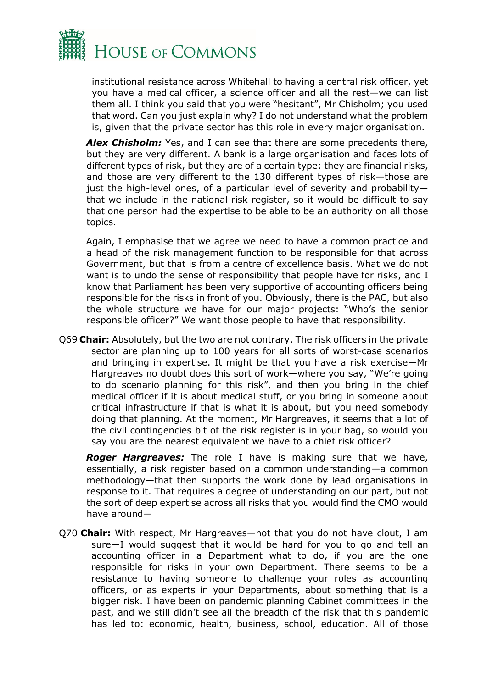

institutional resistance across Whitehall to having a central risk officer, yet you have a medical officer, a science officer and all the rest—we can list them all. I think you said that you were "hesitant", Mr Chisholm; you used that word. Can you just explain why? I do not understand what the problem is, given that the private sector has this role in every major organisation.

*Alex Chisholm:* Yes, and I can see that there are some precedents there, but they are very different. A bank is a large organisation and faces lots of different types of risk, but they are of a certain type: they are financial risks, and those are very different to the 130 different types of risk—those are just the high-level ones, of a particular level of severity and probability that we include in the national risk register, so it would be difficult to say that one person had the expertise to be able to be an authority on all those topics.

Again, I emphasise that we agree we need to have a common practice and a head of the risk management function to be responsible for that across Government, but that is from a centre of excellence basis. What we do not want is to undo the sense of responsibility that people have for risks, and I know that Parliament has been very supportive of accounting officers being responsible for the risks in front of you. Obviously, there is the PAC, but also the whole structure we have for our major projects: "Who's the senior responsible officer?" We want those people to have that responsibility.

Q69 **Chair:** Absolutely, but the two are not contrary. The risk officers in the private sector are planning up to 100 years for all sorts of worst-case scenarios and bringing in expertise. It might be that you have a risk exercise—Mr Hargreaves no doubt does this sort of work—where you say, "We're going to do scenario planning for this risk", and then you bring in the chief medical officer if it is about medical stuff, or you bring in someone about critical infrastructure if that is what it is about, but you need somebody doing that planning. At the moment, Mr Hargreaves, it seems that a lot of the civil contingencies bit of the risk register is in your bag, so would you say you are the nearest equivalent we have to a chief risk officer?

*Roger Hargreaves:* The role I have is making sure that we have, essentially, a risk register based on a common understanding—a common methodology—that then supports the work done by lead organisations in response to it. That requires a degree of understanding on our part, but not the sort of deep expertise across all risks that you would find the CMO would have around—

Q70 **Chair:** With respect, Mr Hargreaves—not that you do not have clout, I am sure—I would suggest that it would be hard for you to go and tell an accounting officer in a Department what to do, if you are the one responsible for risks in your own Department. There seems to be a resistance to having someone to challenge your roles as accounting officers, or as experts in your Departments, about something that is a bigger risk. I have been on pandemic planning Cabinet committees in the past, and we still didn't see all the breadth of the risk that this pandemic has led to: economic, health, business, school, education. All of those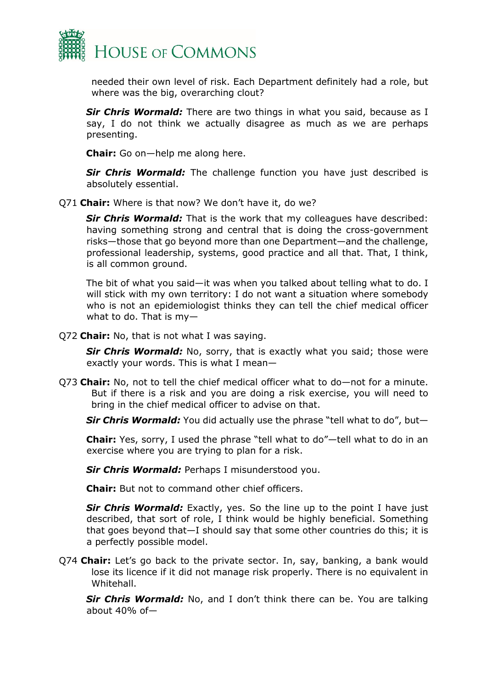

needed their own level of risk. Each Department definitely had a role, but where was the big, overarching clout?

*Sir Chris Wormald:* There are two things in what you said, because as I say, I do not think we actually disagree as much as we are perhaps presenting.

**Chair:** Go on—help me along here.

**Sir Chris Wormald:** The challenge function you have just described is absolutely essential.

Q71 **Chair:** Where is that now? We don't have it, do we?

**Sir Chris Wormald:** That is the work that my colleagues have described: having something strong and central that is doing the cross-government risks—those that go beyond more than one Department—and the challenge, professional leadership, systems, good practice and all that. That, I think, is all common ground.

The bit of what you said—it was when you talked about telling what to do. I will stick with my own territory: I do not want a situation where somebody who is not an epidemiologist thinks they can tell the chief medical officer what to do. That is my—

Q72 **Chair:** No, that is not what I was saying.

**Sir Chris Wormald:** No, sorry, that is exactly what you said; those were exactly your words. This is what I mean—

Q73 **Chair:** No, not to tell the chief medical officer what to do—not for a minute. But if there is a risk and you are doing a risk exercise, you will need to bring in the chief medical officer to advise on that.

*Sir Chris Wormald:* You did actually use the phrase "tell what to do", but—

**Chair:** Yes, sorry, I used the phrase "tell what to do"—tell what to do in an exercise where you are trying to plan for a risk.

*Sir Chris Wormald:* Perhaps I misunderstood you.

**Chair:** But not to command other chief officers.

**Sir Chris Wormald:** Exactly, yes. So the line up to the point I have just described, that sort of role, I think would be highly beneficial. Something that goes beyond that—I should say that some other countries do this; it is a perfectly possible model.

Q74 **Chair:** Let's go back to the private sector. In, say, banking, a bank would lose its licence if it did not manage risk properly. There is no equivalent in Whitehall.

**Sir Chris Wormald:** No, and I don't think there can be. You are talking about 40% of—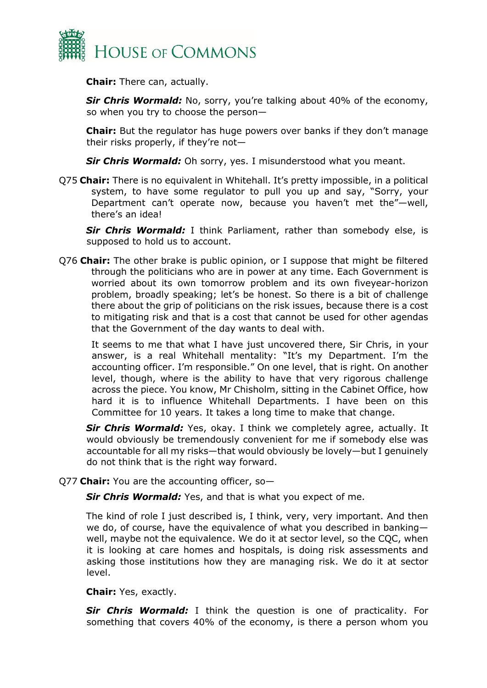

**Chair:** There can, actually.

*Sir Chris Wormald:* No, sorry, you're talking about 40% of the economy, so when you try to choose the person—

**Chair:** But the regulator has huge powers over banks if they don't manage their risks properly, if they're not—

**Sir Chris Wormald:** Oh sorry, yes. I misunderstood what you meant.

Q75 **Chair:** There is no equivalent in Whitehall. It's pretty impossible, in a political system, to have some regulator to pull you up and say, "Sorry, your Department can't operate now, because you haven't met the"—well, there's an idea!

**Sir Chris Wormald:** I think Parliament, rather than somebody else, is supposed to hold us to account.

Q76 **Chair:** The other brake is public opinion, or I suppose that might be filtered through the politicians who are in power at any time. Each Government is worried about its own tomorrow problem and its own fiveyear-horizon problem, broadly speaking; let's be honest. So there is a bit of challenge there about the grip of politicians on the risk issues, because there is a cost to mitigating risk and that is a cost that cannot be used for other agendas that the Government of the day wants to deal with.

It seems to me that what I have just uncovered there, Sir Chris, in your answer, is a real Whitehall mentality: "It's my Department. I'm the accounting officer. I'm responsible." On one level, that is right. On another level, though, where is the ability to have that very rigorous challenge across the piece. You know, Mr Chisholm, sitting in the Cabinet Office, how hard it is to influence Whitehall Departments. I have been on this Committee for 10 years. It takes a long time to make that change.

**Sir Chris Wormald:** Yes, okay. I think we completely agree, actually. It would obviously be tremendously convenient for me if somebody else was accountable for all my risks—that would obviously be lovely—but I genuinely do not think that is the right way forward.

Q77 **Chair:** You are the accounting officer, so—

**Sir Chris Wormald:** Yes, and that is what you expect of me.

The kind of role I just described is, I think, very, very important. And then we do, of course, have the equivalence of what you described in banking well, maybe not the equivalence. We do it at sector level, so the CQC, when it is looking at care homes and hospitals, is doing risk assessments and asking those institutions how they are managing risk. We do it at sector level.

**Chair:** Yes, exactly.

**Sir Chris Wormald:** I think the question is one of practicality. For something that covers 40% of the economy, is there a person whom you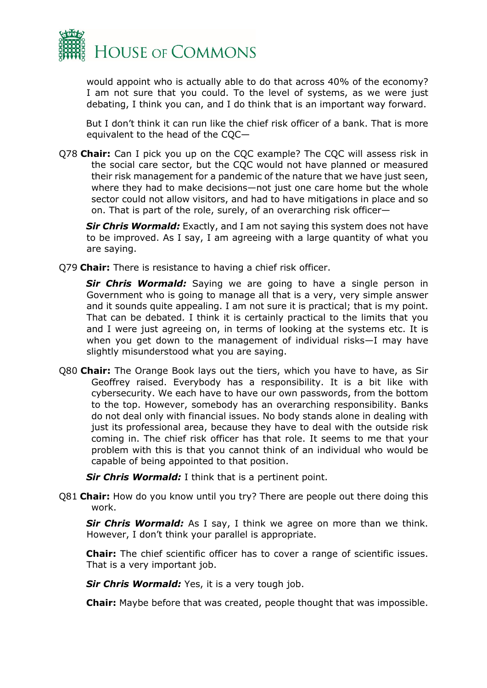

would appoint who is actually able to do that across 40% of the economy? I am not sure that you could. To the level of systems, as we were just debating, I think you can, and I do think that is an important way forward.

But I don't think it can run like the chief risk officer of a bank. That is more equivalent to the head of the CQC—

Q78 **Chair:** Can I pick you up on the CQC example? The CQC will assess risk in the social care sector, but the CQC would not have planned or measured their risk management for a pandemic of the nature that we have just seen, where they had to make decisions—not just one care home but the whole sector could not allow visitors, and had to have mitigations in place and so on. That is part of the role, surely, of an overarching risk officer—

**Sir Chris Wormald:** Exactly, and I am not saying this system does not have to be improved. As I say, I am agreeing with a large quantity of what you are saying.

Q79 **Chair:** There is resistance to having a chief risk officer.

*Sir Chris Wormald:* Saying we are going to have a single person in Government who is going to manage all that is a very, very simple answer and it sounds quite appealing. I am not sure it is practical; that is my point. That can be debated. I think it is certainly practical to the limits that you and I were just agreeing on, in terms of looking at the systems etc. It is when you get down to the management of individual risks—I may have slightly misunderstood what you are saying.

Q80 **Chair:** The Orange Book lays out the tiers, which you have to have, as Sir Geoffrey raised. Everybody has a responsibility. It is a bit like with cybersecurity. We each have to have our own passwords, from the bottom to the top. However, somebody has an overarching responsibility. Banks do not deal only with financial issues. No body stands alone in dealing with just its professional area, because they have to deal with the outside risk coming in. The chief risk officer has that role. It seems to me that your problem with this is that you cannot think of an individual who would be capable of being appointed to that position.

**Sir Chris Wormald:** I think that is a pertinent point.

Q81 **Chair:** How do you know until you try? There are people out there doing this work.

**Sir Chris Wormald:** As I say, I think we agree on more than we think. However, I don't think your parallel is appropriate.

**Chair:** The chief scientific officer has to cover a range of scientific issues. That is a very important job.

*Sir Chris Wormald:* Yes, it is a very tough job.

**Chair:** Maybe before that was created, people thought that was impossible.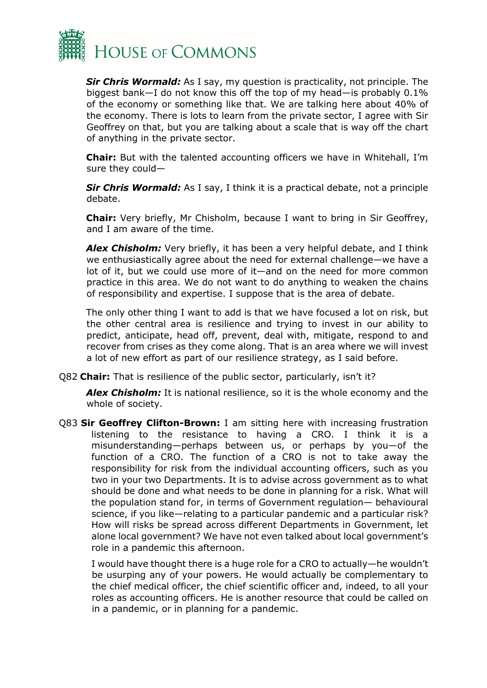

*Sir Chris Wormald:* As I say, my question is practicality, not principle. The biggest bank—I do not know this off the top of my head—is probably 0.1% of the economy or something like that. We are talking here about 40% of the economy. There is lots to learn from the private sector, I agree with Sir Geoffrey on that, but you are talking about a scale that is way off the chart of anything in the private sector.

**Chair:** But with the talented accounting officers we have in Whitehall, I'm sure they could—

*Sir Chris Wormald:* As I say, I think it is a practical debate, not a principle debate.

**Chair:** Very briefly, Mr Chisholm, because I want to bring in Sir Geoffrey, and I am aware of the time.

*Alex Chisholm:* Very briefly, it has been a very helpful debate, and I think we enthusiastically agree about the need for external challenge—we have a lot of it, but we could use more of it—and on the need for more common practice in this area. We do not want to do anything to weaken the chains of responsibility and expertise. I suppose that is the area of debate.

The only other thing I want to add is that we have focused a lot on risk, but the other central area is resilience and trying to invest in our ability to predict, anticipate, head off, prevent, deal with, mitigate, respond to and recover from crises as they come along. That is an area where we will invest a lot of new effort as part of our resilience strategy, as I said before.

Q82 **Chair:** That is resilience of the public sector, particularly, isn't it?

*Alex Chisholm:* It is national resilience, so it is the whole economy and the whole of society.

Q83 **Sir Geoffrey Clifton-Brown:** I am sitting here with increasing frustration listening to the resistance to having a CRO. I think it is a misunderstanding—perhaps between us, or perhaps by you—of the function of a CRO. The function of a CRO is not to take away the responsibility for risk from the individual accounting officers, such as you two in your two Departments. It is to advise across government as to what should be done and what needs to be done in planning for a risk. What will the population stand for, in terms of Government regulation— behavioural science, if you like—relating to a particular pandemic and a particular risk? How will risks be spread across different Departments in Government, let alone local government? We have not even talked about local government's role in a pandemic this afternoon.

I would have thought there is a huge role for a CRO to actually—he wouldn't be usurping any of your powers. He would actually be complementary to the chief medical officer, the chief scientific officer and, indeed, to all your roles as accounting officers. He is another resource that could be called on in a pandemic, or in planning for a pandemic.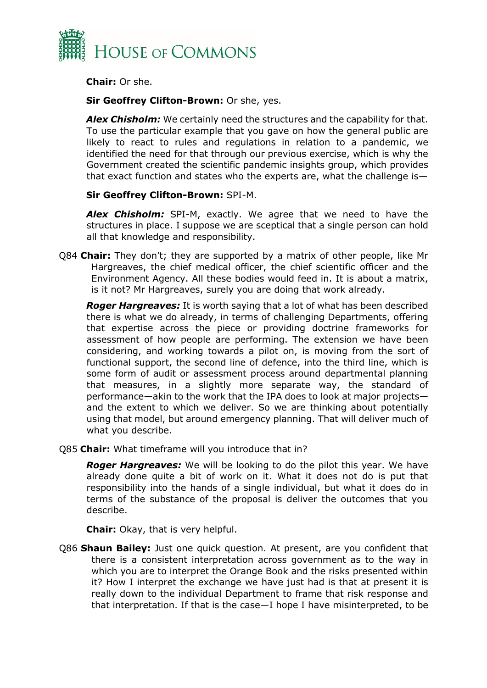

**Chair:** Or she.

**Sir Geoffrey Clifton-Brown:** Or she, yes.

*Alex Chisholm:* We certainly need the structures and the capability for that. To use the particular example that you gave on how the general public are likely to react to rules and regulations in relation to a pandemic, we identified the need for that through our previous exercise, which is why the Government created the scientific pandemic insights group, which provides that exact function and states who the experts are, what the challenge is—

## **Sir Geoffrey Clifton-Brown:** SPI-M.

*Alex Chisholm:* SPI-M, exactly. We agree that we need to have the structures in place. I suppose we are sceptical that a single person can hold all that knowledge and responsibility.

Q84 **Chair:** They don't; they are supported by a matrix of other people, like Mr Hargreaves, the chief medical officer, the chief scientific officer and the Environment Agency. All these bodies would feed in. It is about a matrix, is it not? Mr Hargreaves, surely you are doing that work already.

*Roger Hargreaves:* It is worth saying that a lot of what has been described there is what we do already, in terms of challenging Departments, offering that expertise across the piece or providing doctrine frameworks for assessment of how people are performing. The extension we have been considering, and working towards a pilot on, is moving from the sort of functional support, the second line of defence, into the third line, which is some form of audit or assessment process around departmental planning that measures, in a slightly more separate way, the standard of performance—akin to the work that the IPA does to look at major projects and the extent to which we deliver. So we are thinking about potentially using that model, but around emergency planning. That will deliver much of what you describe.

Q85 **Chair:** What timeframe will you introduce that in?

*Roger Hargreaves:* We will be looking to do the pilot this year. We have already done quite a bit of work on it. What it does not do is put that responsibility into the hands of a single individual, but what it does do in terms of the substance of the proposal is deliver the outcomes that you describe.

**Chair:** Okay, that is very helpful.

Q86 **Shaun Bailey:** Just one quick question. At present, are you confident that there is a consistent interpretation across government as to the way in which you are to interpret the Orange Book and the risks presented within it? How I interpret the exchange we have just had is that at present it is really down to the individual Department to frame that risk response and that interpretation. If that is the case—I hope I have misinterpreted, to be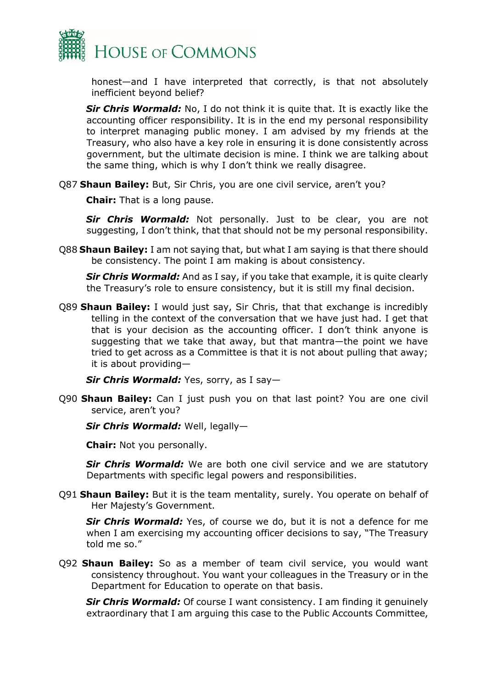

honest—and I have interpreted that correctly, is that not absolutely inefficient beyond belief?

**Sir Chris Wormald:** No, I do not think it is quite that. It is exactly like the accounting officer responsibility. It is in the end my personal responsibility to interpret managing public money. I am advised by my friends at the Treasury, who also have a key role in ensuring it is done consistently across government, but the ultimate decision is mine. I think we are talking about the same thing, which is why I don't think we really disagree.

Q87 **Shaun Bailey:** But, Sir Chris, you are one civil service, aren't you?

**Chair:** That is a long pause.

*Sir Chris Wormald:* Not personally. Just to be clear, you are not suggesting, I don't think, that that should not be my personal responsibility.

Q88 **Shaun Bailey:** I am not saying that, but what I am saying is that there should be consistency. The point I am making is about consistency.

**Sir Chris Wormald:** And as I say, if you take that example, it is quite clearly the Treasury's role to ensure consistency, but it is still my final decision.

Q89 **Shaun Bailey:** I would just say, Sir Chris, that that exchange is incredibly telling in the context of the conversation that we have just had. I get that that is your decision as the accounting officer. I don't think anyone is suggesting that we take that away, but that mantra—the point we have tried to get across as a Committee is that it is not about pulling that away; it is about providing—

*Sir Chris Wormald:* Yes, sorry, as I say—

Q90 **Shaun Bailey:** Can I just push you on that last point? You are one civil service, aren't you?

*Sir Chris Wormald:* Well, legally—

**Chair:** Not you personally.

**Sir Chris Wormald:** We are both one civil service and we are statutory Departments with specific legal powers and responsibilities.

Q91 **Shaun Bailey:** But it is the team mentality, surely. You operate on behalf of Her Majesty's Government.

*Sir Chris Wormald:* Yes, of course we do, but it is not a defence for me when I am exercising my accounting officer decisions to say, "The Treasury told me so."

Q92 **Shaun Bailey:** So as a member of team civil service, you would want consistency throughout. You want your colleagues in the Treasury or in the Department for Education to operate on that basis.

**Sir Chris Wormald:** Of course I want consistency. I am finding it genuinely extraordinary that I am arguing this case to the Public Accounts Committee,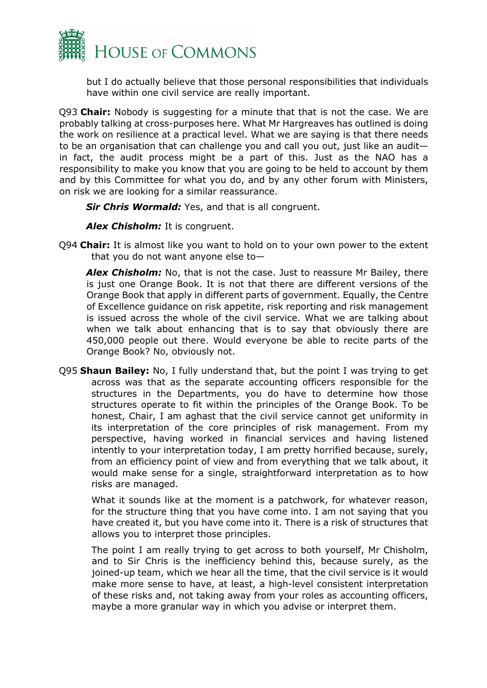

but I do actually believe that those personal responsibilities that individuals have within one civil service are really important.

Q93 **Chair:** Nobody is suggesting for a minute that that is not the case. We are probably talking at cross-purposes here. What Mr Hargreaves has outlined is doing the work on resilience at a practical level. What we are saying is that there needs to be an organisation that can challenge you and call you out, just like an audit in fact, the audit process might be a part of this. Just as the NAO has a responsibility to make you know that you are going to be held to account by them and by this Committee for what you do, and by any other forum with Ministers, on risk we are looking for a similar reassurance.

*Sir Chris Wormald:* Yes, and that is all congruent.

*Alex Chisholm:* It is congruent.

Q94 **Chair:** It is almost like you want to hold on to your own power to the extent that you do not want anyone else to—

*Alex Chisholm:* No, that is not the case. Just to reassure Mr Bailey, there is just one Orange Book. It is not that there are different versions of the Orange Book that apply in different parts of government. Equally, the Centre of Excellence guidance on risk appetite, risk reporting and risk management is issued across the whole of the civil service. What we are talking about when we talk about enhancing that is to say that obviously there are 450,000 people out there. Would everyone be able to recite parts of the Orange Book? No, obviously not.

Q95 **Shaun Bailey:** No, I fully understand that, but the point I was trying to get across was that as the separate accounting officers responsible for the structures in the Departments, you do have to determine how those structures operate to fit within the principles of the Orange Book. To be honest, Chair, I am aghast that the civil service cannot get uniformity in its interpretation of the core principles of risk management. From my perspective, having worked in financial services and having listened intently to your interpretation today, I am pretty horrified because, surely, from an efficiency point of view and from everything that we talk about, it would make sense for a single, straightforward interpretation as to how risks are managed.

What it sounds like at the moment is a patchwork, for whatever reason, for the structure thing that you have come into. I am not saying that you have created it, but you have come into it. There is a risk of structures that allows you to interpret those principles.

The point I am really trying to get across to both yourself, Mr Chisholm, and to Sir Chris is the inefficiency behind this, because surely, as the joined-up team, which we hear all the time, that the civil service is it would make more sense to have, at least, a high-level consistent interpretation of these risks and, not taking away from your roles as accounting officers, maybe a more granular way in which you advise or interpret them.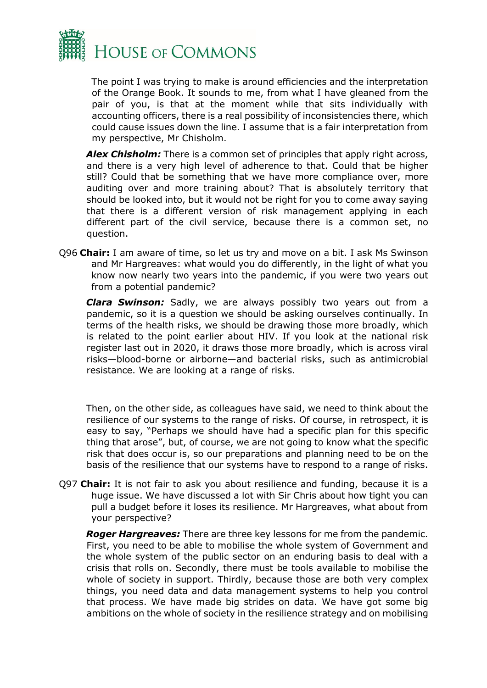

The point I was trying to make is around efficiencies and the interpretation of the Orange Book. It sounds to me, from what I have gleaned from the pair of you, is that at the moment while that sits individually with accounting officers, there is a real possibility of inconsistencies there, which could cause issues down the line. I assume that is a fair interpretation from my perspective, Mr Chisholm.

**Alex Chisholm:** There is a common set of principles that apply right across, and there is a very high level of adherence to that. Could that be higher still? Could that be something that we have more compliance over, more auditing over and more training about? That is absolutely territory that should be looked into, but it would not be right for you to come away saying that there is a different version of risk management applying in each different part of the civil service, because there is a common set, no question.

Q96 **Chair:** I am aware of time, so let us try and move on a bit. I ask Ms Swinson and Mr Hargreaves: what would you do differently, in the light of what you know now nearly two years into the pandemic, if you were two years out from a potential pandemic?

*Clara Swinson:* Sadly, we are always possibly two years out from a pandemic, so it is a question we should be asking ourselves continually. In terms of the health risks, we should be drawing those more broadly, which is related to the point earlier about HIV. If you look at the national risk register last out in 2020, it draws those more broadly, which is across viral risks—blood-borne or airborne—and bacterial risks, such as antimicrobial resistance. We are looking at a range of risks.

Then, on the other side, as colleagues have said, we need to think about the resilience of our systems to the range of risks. Of course, in retrospect, it is easy to say, "Perhaps we should have had a specific plan for this specific thing that arose", but, of course, we are not going to know what the specific risk that does occur is, so our preparations and planning need to be on the basis of the resilience that our systems have to respond to a range of risks.

Q97 **Chair:** It is not fair to ask you about resilience and funding, because it is a huge issue. We have discussed a lot with Sir Chris about how tight you can pull a budget before it loses its resilience. Mr Hargreaves, what about from your perspective?

*Roger Hargreaves:* There are three key lessons for me from the pandemic. First, you need to be able to mobilise the whole system of Government and the whole system of the public sector on an enduring basis to deal with a crisis that rolls on. Secondly, there must be tools available to mobilise the whole of society in support. Thirdly, because those are both very complex things, you need data and data management systems to help you control that process. We have made big strides on data. We have got some big ambitions on the whole of society in the resilience strategy and on mobilising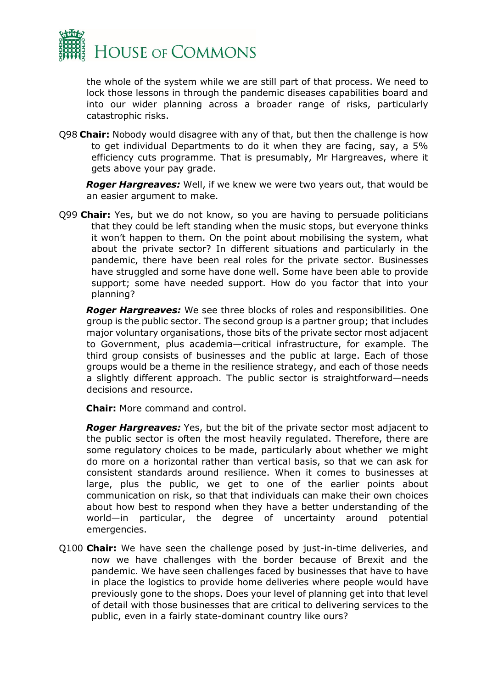

the whole of the system while we are still part of that process. We need to lock those lessons in through the pandemic diseases capabilities board and into our wider planning across a broader range of risks, particularly catastrophic risks.

Q98 **Chair:** Nobody would disagree with any of that, but then the challenge is how to get individual Departments to do it when they are facing, say, a 5% efficiency cuts programme. That is presumably, Mr Hargreaves, where it gets above your pay grade.

*Roger Hargreaves:* Well, if we knew we were two years out, that would be an easier argument to make.

Q99 **Chair:** Yes, but we do not know, so you are having to persuade politicians that they could be left standing when the music stops, but everyone thinks it won't happen to them. On the point about mobilising the system, what about the private sector? In different situations and particularly in the pandemic, there have been real roles for the private sector. Businesses have struggled and some have done well. Some have been able to provide support; some have needed support. How do you factor that into your planning?

*Roger Hargreaves:* We see three blocks of roles and responsibilities. One group is the public sector. The second group is a partner group; that includes major voluntary organisations, those bits of the private sector most adjacent to Government, plus academia—critical infrastructure, for example. The third group consists of businesses and the public at large. Each of those groups would be a theme in the resilience strategy, and each of those needs a slightly different approach. The public sector is straightforward—needs decisions and resource.

**Chair:** More command and control.

*Roger Hargreaves:* Yes, but the bit of the private sector most adjacent to the public sector is often the most heavily regulated. Therefore, there are some regulatory choices to be made, particularly about whether we might do more on a horizontal rather than vertical basis, so that we can ask for consistent standards around resilience. When it comes to businesses at large, plus the public, we get to one of the earlier points about communication on risk, so that that individuals can make their own choices about how best to respond when they have a better understanding of the world—in particular, the degree of uncertainty around potential emergencies.

Q100 **Chair:** We have seen the challenge posed by just-in-time deliveries, and now we have challenges with the border because of Brexit and the pandemic. We have seen challenges faced by businesses that have to have in place the logistics to provide home deliveries where people would have previously gone to the shops. Does your level of planning get into that level of detail with those businesses that are critical to delivering services to the public, even in a fairly state-dominant country like ours?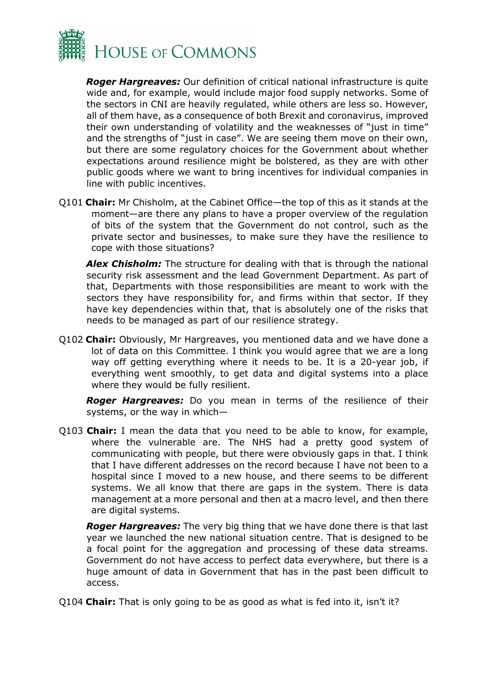

*Roger Hargreaves:* Our definition of critical national infrastructure is quite wide and, for example, would include major food supply networks. Some of the sectors in CNI are heavily regulated, while others are less so. However, all of them have, as a consequence of both Brexit and coronavirus, improved their own understanding of volatility and the weaknesses of "just in time" and the strengths of "just in case". We are seeing them move on their own, but there are some regulatory choices for the Government about whether expectations around resilience might be bolstered, as they are with other public goods where we want to bring incentives for individual companies in line with public incentives.

Q101 **Chair:** Mr Chisholm, at the Cabinet Office—the top of this as it stands at the moment—are there any plans to have a proper overview of the regulation of bits of the system that the Government do not control, such as the private sector and businesses, to make sure they have the resilience to cope with those situations?

*Alex Chisholm:* The structure for dealing with that is through the national security risk assessment and the lead Government Department. As part of that, Departments with those responsibilities are meant to work with the sectors they have responsibility for, and firms within that sector. If they have key dependencies within that, that is absolutely one of the risks that needs to be managed as part of our resilience strategy.

Q102 **Chair:** Obviously, Mr Hargreaves, you mentioned data and we have done a lot of data on this Committee. I think you would agree that we are a long way off getting everything where it needs to be. It is a 20-year job, if everything went smoothly, to get data and digital systems into a place where they would be fully resilient.

**Roger Hargreaves:** Do you mean in terms of the resilience of their systems, or the way in which—

Q103 **Chair:** I mean the data that you need to be able to know, for example, where the vulnerable are. The NHS had a pretty good system of communicating with people, but there were obviously gaps in that. I think that I have different addresses on the record because I have not been to a hospital since I moved to a new house, and there seems to be different systems. We all know that there are gaps in the system. There is data management at a more personal and then at a macro level, and then there are digital systems.

*Roger Hargreaves:* The very big thing that we have done there is that last year we launched the new national situation centre. That is designed to be a focal point for the aggregation and processing of these data streams. Government do not have access to perfect data everywhere, but there is a huge amount of data in Government that has in the past been difficult to access.

Q104 **Chair:** That is only going to be as good as what is fed into it, isn't it?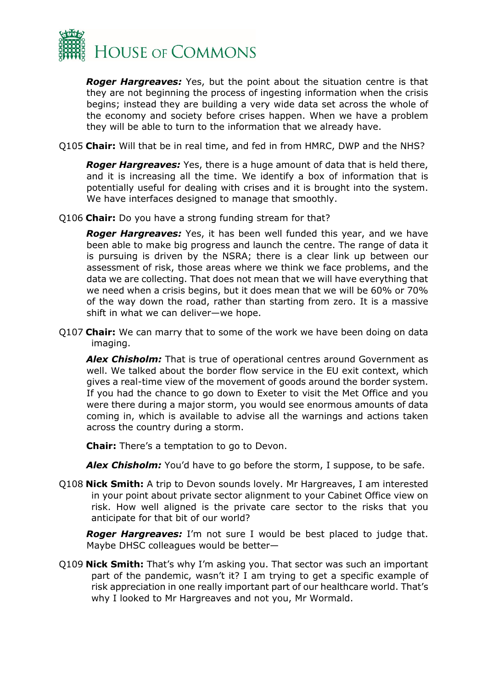

*Roger Hargreaves:* Yes, but the point about the situation centre is that they are not beginning the process of ingesting information when the crisis begins; instead they are building a very wide data set across the whole of the economy and society before crises happen. When we have a problem they will be able to turn to the information that we already have.

Q105 **Chair:** Will that be in real time, and fed in from HMRC, DWP and the NHS?

*Roger Hargreaves:* Yes, there is a huge amount of data that is held there, and it is increasing all the time. We identify a box of information that is potentially useful for dealing with crises and it is brought into the system. We have interfaces designed to manage that smoothly.

Q106 **Chair:** Do you have a strong funding stream for that?

*Roger Hargreaves:* Yes, it has been well funded this year, and we have been able to make big progress and launch the centre. The range of data it is pursuing is driven by the NSRA; there is a clear link up between our assessment of risk, those areas where we think we face problems, and the data we are collecting. That does not mean that we will have everything that we need when a crisis begins, but it does mean that we will be 60% or 70% of the way down the road, rather than starting from zero. It is a massive shift in what we can deliver—we hope.

Q107 **Chair:** We can marry that to some of the work we have been doing on data imaging.

*Alex Chisholm:* That is true of operational centres around Government as well. We talked about the border flow service in the EU exit context, which gives a real-time view of the movement of goods around the border system. If you had the chance to go down to Exeter to visit the Met Office and you were there during a major storm, you would see enormous amounts of data coming in, which is available to advise all the warnings and actions taken across the country during a storm.

**Chair:** There's a temptation to go to Devon.

Alex Chisholm: You'd have to go before the storm, I suppose, to be safe.

Q108 **Nick Smith:** A trip to Devon sounds lovely. Mr Hargreaves, I am interested in your point about private sector alignment to your Cabinet Office view on risk. How well aligned is the private care sector to the risks that you anticipate for that bit of our world?

*Roger Hargreaves:* I'm not sure I would be best placed to judge that. Maybe DHSC colleagues would be better—

Q109 **Nick Smith:** That's why I'm asking you. That sector was such an important part of the pandemic, wasn't it? I am trying to get a specific example of risk appreciation in one really important part of our healthcare world. That's why I looked to Mr Hargreaves and not you, Mr Wormald.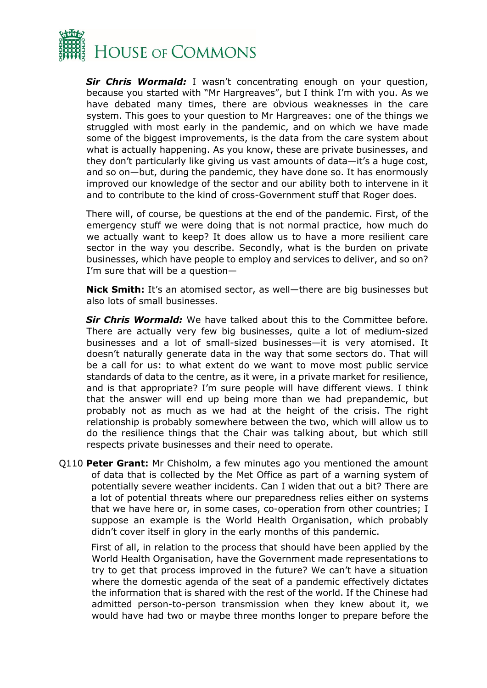

*Sir Chris Wormald:* I wasn't concentrating enough on your question, because you started with "Mr Hargreaves", but I think I'm with you. As we have debated many times, there are obvious weaknesses in the care system. This goes to your question to Mr Hargreaves: one of the things we struggled with most early in the pandemic, and on which we have made some of the biggest improvements, is the data from the care system about what is actually happening. As you know, these are private businesses, and they don't particularly like giving us vast amounts of data—it's a huge cost, and so on—but, during the pandemic, they have done so. It has enormously improved our knowledge of the sector and our ability both to intervene in it and to contribute to the kind of cross-Government stuff that Roger does.

There will, of course, be questions at the end of the pandemic. First, of the emergency stuff we were doing that is not normal practice, how much do we actually want to keep? It does allow us to have a more resilient care sector in the way you describe. Secondly, what is the burden on private businesses, which have people to employ and services to deliver, and so on? I'm sure that will be a question—

**Nick Smith:** It's an atomised sector, as well—there are big businesses but also lots of small businesses.

*Sir Chris Wormald:* We have talked about this to the Committee before. There are actually very few big businesses, quite a lot of medium-sized businesses and a lot of small-sized businesses—it is very atomised. It doesn't naturally generate data in the way that some sectors do. That will be a call for us: to what extent do we want to move most public service standards of data to the centre, as it were, in a private market for resilience, and is that appropriate? I'm sure people will have different views. I think that the answer will end up being more than we had prepandemic, but probably not as much as we had at the height of the crisis. The right relationship is probably somewhere between the two, which will allow us to do the resilience things that the Chair was talking about, but which still respects private businesses and their need to operate.

Q110 **Peter Grant:** Mr Chisholm, a few minutes ago you mentioned the amount of data that is collected by the Met Office as part of a warning system of potentially severe weather incidents. Can I widen that out a bit? There are a lot of potential threats where our preparedness relies either on systems that we have here or, in some cases, co-operation from other countries; I suppose an example is the World Health Organisation, which probably didn't cover itself in glory in the early months of this pandemic.

First of all, in relation to the process that should have been applied by the World Health Organisation, have the Government made representations to try to get that process improved in the future? We can't have a situation where the domestic agenda of the seat of a pandemic effectively dictates the information that is shared with the rest of the world. If the Chinese had admitted person-to-person transmission when they knew about it, we would have had two or maybe three months longer to prepare before the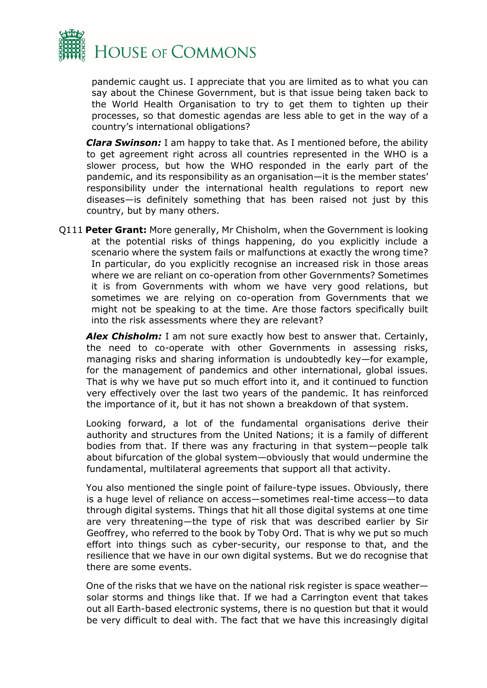

pandemic caught us. I appreciate that you are limited as to what you can say about the Chinese Government, but is that issue being taken back to the World Health Organisation to try to get them to tighten up their processes, so that domestic agendas are less able to get in the way of a country's international obligations?

*Clara Swinson:* I am happy to take that. As I mentioned before, the ability to get agreement right across all countries represented in the WHO is a slower process, but how the WHO responded in the early part of the pandemic, and its responsibility as an organisation—it is the member states' responsibility under the international health regulations to report new diseases—is definitely something that has been raised not just by this country, but by many others.

Q111 **Peter Grant:** More generally, Mr Chisholm, when the Government is looking at the potential risks of things happening, do you explicitly include a scenario where the system fails or malfunctions at exactly the wrong time? In particular, do you explicitly recognise an increased risk in those areas where we are reliant on co-operation from other Governments? Sometimes it is from Governments with whom we have very good relations, but sometimes we are relying on co-operation from Governments that we might not be speaking to at the time. Are those factors specifically built into the risk assessments where they are relevant?

*Alex Chisholm:* I am not sure exactly how best to answer that. Certainly, the need to co-operate with other Governments in assessing risks, managing risks and sharing information is undoubtedly key—for example, for the management of pandemics and other international, global issues. That is why we have put so much effort into it, and it continued to function very effectively over the last two years of the pandemic. It has reinforced the importance of it, but it has not shown a breakdown of that system.

Looking forward, a lot of the fundamental organisations derive their authority and structures from the United Nations; it is a family of different bodies from that. If there was any fracturing in that system—people talk about bifurcation of the global system—obviously that would undermine the fundamental, multilateral agreements that support all that activity.

You also mentioned the single point of failure-type issues. Obviously, there is a huge level of reliance on access—sometimes real-time access—to data through digital systems. Things that hit all those digital systems at one time are very threatening—the type of risk that was described earlier by Sir Geoffrey, who referred to the book by Toby Ord. That is why we put so much effort into things such as cyber-security, our response to that, and the resilience that we have in our own digital systems. But we do recognise that there are some events.

One of the risks that we have on the national risk register is space weather solar storms and things like that. If we had a Carrington event that takes out all Earth-based electronic systems, there is no question but that it would be very difficult to deal with. The fact that we have this increasingly digital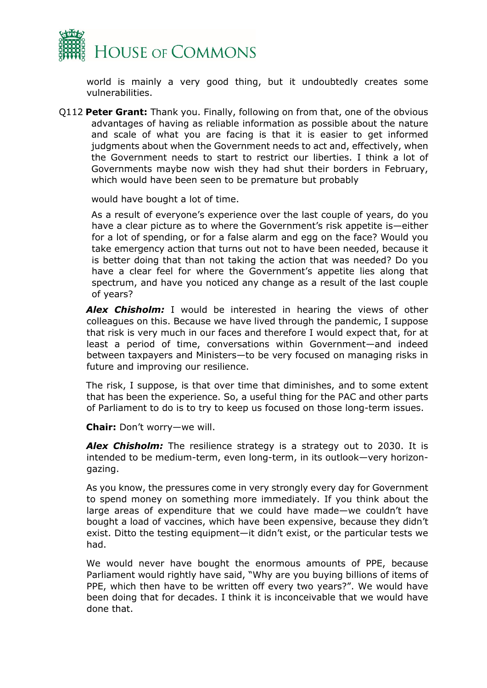

world is mainly a very good thing, but it undoubtedly creates some vulnerabilities.

Q112 **Peter Grant:** Thank you. Finally, following on from that, one of the obvious advantages of having as reliable information as possible about the nature and scale of what you are facing is that it is easier to get informed judgments about when the Government needs to act and, effectively, when the Government needs to start to restrict our liberties. I think a lot of Governments maybe now wish they had shut their borders in February, which would have been seen to be premature but probably

would have bought a lot of time.

As a result of everyone's experience over the last couple of years, do you have a clear picture as to where the Government's risk appetite is—either for a lot of spending, or for a false alarm and egg on the face? Would you take emergency action that turns out not to have been needed, because it is better doing that than not taking the action that was needed? Do you have a clear feel for where the Government's appetite lies along that spectrum, and have you noticed any change as a result of the last couple of years?

*Alex Chisholm:* I would be interested in hearing the views of other colleagues on this. Because we have lived through the pandemic, I suppose that risk is very much in our faces and therefore I would expect that, for at least a period of time, conversations within Government—and indeed between taxpayers and Ministers—to be very focused on managing risks in future and improving our resilience.

The risk, I suppose, is that over time that diminishes, and to some extent that has been the experience. So, a useful thing for the PAC and other parts of Parliament to do is to try to keep us focused on those long-term issues.

**Chair:** Don't worry—we will.

*Alex Chisholm:* The resilience strategy is a strategy out to 2030. It is intended to be medium-term, even long-term, in its outlook—very horizongazing.

As you know, the pressures come in very strongly every day for Government to spend money on something more immediately. If you think about the large areas of expenditure that we could have made—we couldn't have bought a load of vaccines, which have been expensive, because they didn't exist. Ditto the testing equipment—it didn't exist, or the particular tests we had.

We would never have bought the enormous amounts of PPE, because Parliament would rightly have said, "Why are you buying billions of items of PPE, which then have to be written off every two years?". We would have been doing that for decades. I think it is inconceivable that we would have done that.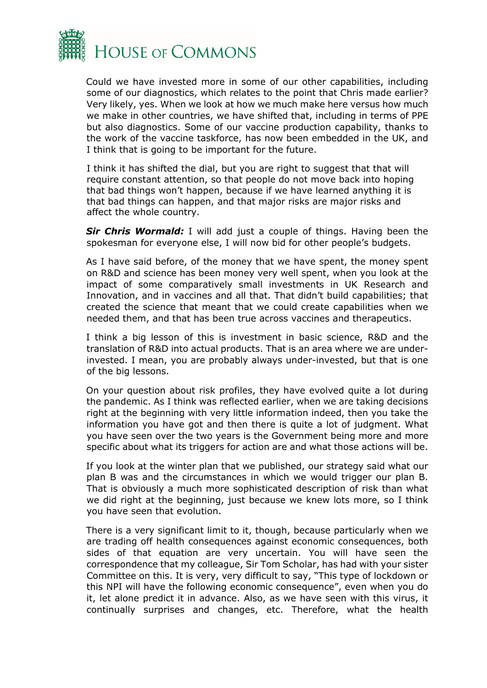

Could we have invested more in some of our other capabilities, including some of our diagnostics, which relates to the point that Chris made earlier? Very likely, yes. When we look at how we much make here versus how much we make in other countries, we have shifted that, including in terms of PPE but also diagnostics. Some of our vaccine production capability, thanks to the work of the vaccine taskforce, has now been embedded in the UK, and I think that is going to be important for the future.

I think it has shifted the dial, but you are right to suggest that that will require constant attention, so that people do not move back into hoping that bad things won't happen, because if we have learned anything it is that bad things can happen, and that major risks are major risks and affect the whole country.

*Sir Chris Wormald:* I will add just a couple of things. Having been the spokesman for everyone else, I will now bid for other people's budgets.

As I have said before, of the money that we have spent, the money spent on R&D and science has been money very well spent, when you look at the impact of some comparatively small investments in UK Research and Innovation, and in vaccines and all that. That didn't build capabilities; that created the science that meant that we could create capabilities when we needed them, and that has been true across vaccines and therapeutics.

I think a big lesson of this is investment in basic science, R&D and the translation of R&D into actual products. That is an area where we are underinvested. I mean, you are probably always under-invested, but that is one of the big lessons.

On your question about risk profiles, they have evolved quite a lot during the pandemic. As I think was reflected earlier, when we are taking decisions right at the beginning with very little information indeed, then you take the information you have got and then there is quite a lot of judgment. What you have seen over the two years is the Government being more and more specific about what its triggers for action are and what those actions will be.

If you look at the winter plan that we published, our strategy said what our plan B was and the circumstances in which we would trigger our plan B. That is obviously a much more sophisticated description of risk than what we did right at the beginning, just because we knew lots more, so I think you have seen that evolution.

There is a very significant limit to it, though, because particularly when we are trading off health consequences against economic consequences, both sides of that equation are very uncertain. You will have seen the correspondence that my colleague, Sir Tom Scholar, has had with your sister Committee on this. It is very, very difficult to say, "This type of lockdown or this NPI will have the following economic consequence", even when you do it, let alone predict it in advance. Also, as we have seen with this virus, it continually surprises and changes, etc. Therefore, what the health